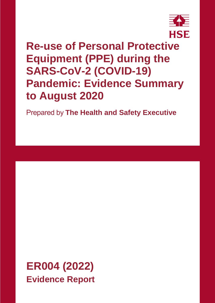

# **Re-use of Personal Protective Equipment (PPE) during the SARS-CoV-2 (COVID-19) Pandemic: Evidence Summary to August 2020**

Prepared by **The Health and Safety Executive**

**ER004 (2022) Evidence Report**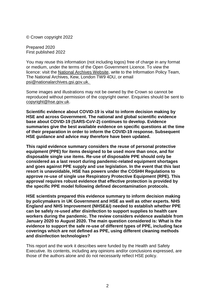© Crown copyright 2022

Prepared 2020 First published 2022

You may reuse this information (not including logos) free of charge in any format or medium, under the terms of the Open Government Licence. To view the licence: visit the [National Archives Website,](http://www.nationalarchives.gov.uk/doc/open-government-licence/) write to the Information Policy Team, The National Archives, Kew, London TW9 4DU, or email [psi@nationalarchives.gsi.gov.uk.](mailto:psi@nationalarchives.gsi.gov.uk)

Some images and illustrations may not be owned by the Crown so cannot be reproduced without permission of the copyright owner. Enquiries should be sent to [copyright@hse.gov.uk.](mailto:copyright@hse.gsi.gov.uk)

**Scientific evidence about COVID-19 is vital to inform decision making by HSE and across Government. The national and global scientific evidence base about COVID-19 (SARS-CoV-2) continues to develop. Evidence summaries give the best available evidence on specific questions at the time of their preparation in order to inform the COVID-19 response. Subsequent HSE guidance and advice may therefore have been updated.**

**This rapid evidence summary considers the reuse of personal protective equipment (PPE) for items designed to be used more than once, and for disposable single use items. Re-use of disposable PPE should only be considered as a last resort during pandemic-related equipment shortages and goes against PPE supply and use legislation. In the event that this last resort is unavoidable, HSE has powers under the COSHH Regulations to approve re-use of single use Respiratory Protective Equipment (RPE). This approval requires robust evidence that effective protection is provided by the specific PPE model following defined decontamination protocols.**

**HSE scientists prepared this evidence summary to inform decision making by policymakers in UK Government and HSE as well as other experts. NHS England and NHS Improvement (NHSE&I) needed to establish whether PPE can be safely re-used after disinfection to support supplies to health care workers during the pandemic. The review considers evidence available from January 2020 to August 2020. The main question considered is: What is the evidence to support the safe re-use of different types of PPE, including face coverings which are not defined as PPE, using different cleaning methods and disinfection technologies?**

This report and the work it describes were funded by the Health and Safety Executive. Its contents, including any opinions and/or conclusions expressed, are those of the authors alone and do not necessarily reflect HSE policy.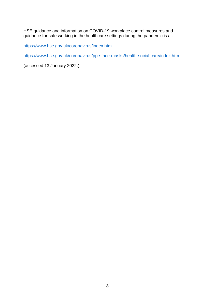HSE guidance and information on COVID-19 workplace control measures and guidance for safe working in the healthcare settings during the pandemic is at:

<https://www.hse.gov.uk/coronavirus/index.htm>

<https://www.hse.gov.uk/coronavirus/ppe-face-masks/health-social-care/index.htm>

(accessed 13 January 2022.)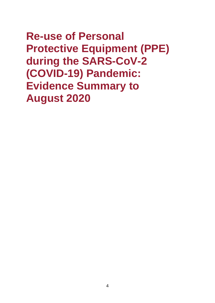# **Re-use of Personal Protective Equipment (PPE) during the SARS-CoV-2 (COVID-19) Pandemic: Evidence Summary to August 2020**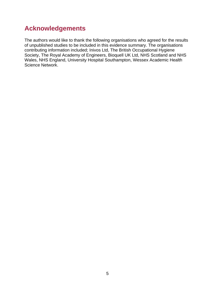# <span id="page-4-0"></span>**Acknowledgements**

The authors would like to thank the following organisations who agreed for the results of unpublished studies to be included in this evidence summary. The organisations contributing information included; Inivos Ltd, The British Occupational Hygiene Society, The Royal Academy of Engineers, Bioquell UK Ltd, NHS Scotland and NHS Wales, NHS England, University Hospital Southampton, Wessex Academic Health Science Network.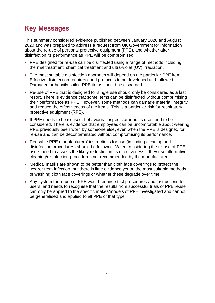# <span id="page-5-0"></span>**Key Messages**

This summary considered evidence published between January 2020 and August 2020 and was prepared to address a request from UK Government for information about the re-use of personal protective equipment (PPE), and whether after disinfection its performance as PPE will be compromised.

- PPE designed for re-use can be disinfected using a range of methods including thermal treatment, chemical treatment and ultra-violet (UV) irradiation.
- The most suitable disinfection approach will depend on the particular PPE item. Effective disinfection requires good protocols to be developed and followed. Damaged or heavily soiled PPE items should be discarded.
- Re-use of PPE that is designed for single use should only be considered as a last resort. There is evidence that some items can be disinfected without comprimising their performance as PPE. However, some methods can damage material integrity and reduce the effectiveness of the items. This is a particular risk for respiratory protective equipment (RPE).
- If PPE needs to be re-used, behavioural aspects around its use need to be considered. There is evidence that employees can be uncomfortable about wearing RPE previously been worn by someone else, even when the PPE is designed for re-use and can be decontaminated without compromising its performance.
- Reusable PPE manufacturers' instructions for use (including cleaning and disinfection procedures) should be followed. When considering the re-use of PPE users need to assess the likely reduction in its effectiveness if they use alternative cleaning/disinfection procedures not recommended by the manufacturer.
- Medical masks are shown to be better than cloth face coverings to protect the wearer from infection, but there is little evidence yet on the most suitable methods of washing cloth face coverings or whether these degrade over time.
- Any system for re-use of PPE would require strict procedures and instructions for users, and needs to recognise that the results from successful trials of PPE reuse can only be applied to the specific makes/models of PPE investigated and cannot be generalised and applied to all PPE of that type.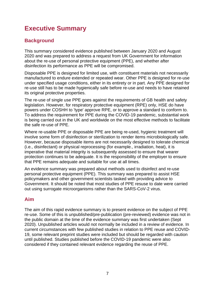# <span id="page-6-0"></span>**Executive Summary**

# <span id="page-6-1"></span>**Background**

This summary considered evidence published between January 2020 and August 2020 and was prepared to address a request from UK Government for information about the re-use of personal protective equipment (PPE), and whether after disinfection its performance as PPE will be compromised.

Disposable PPE is designed for limited use, with constituent materials not necessarily manufactured to endure extended or repeated wear. Other PPE is designed for re-use under specified usage conditions, either in its entirety or in part. Any PPE designed for re-use still has to be made hygienically safe before re-use and needs to have retained its original protective properties.

The re-use of single use PPE goes against the requirements of GB health and safety legislation. However, for respiratory protective equipment (RPE) only, HSE do have powers under COSHH to 'type' approve RPE, or to approve a standard to conform to. To address the requirement for PPE during the COVID-19 pandemic, substantial work is being carried out in the UK and worldwide on the most effective methods to facilitate the safe re-use of PPE.

Where re-usable PPE or disposable PPE are being re-used, hygienic treatment will involve some form of disinfection or sterilization to render items microbiologically safe. However, because disposable items are not necessarily designed to tolerate chemical (i.e., disinfectant) or physical reprocessing (for example., irradiation, heat), it is imperative that material integrity is subsequently assessed to ensure that wearer protection continues to be adequate. It is the responsibility of the employer to ensure that PPE remains adequate and suitable for use at all times.

An evidence summary was prepared about methods used to disinfect and re-use personal protective equipment (PPE). This summary was prepared to assist HSE policymakers and other government scientists tasked with providing advice to Government. It should be noted that most studies of PPE resuse to date were carried out using surrogate microorganisms rather than the SARS-CoV-2 virus.

# <span id="page-6-2"></span>**Aim**

The aim of this rapid evidence summary is to present evidence on the subject of PPE re-use. Some of this is unpublished/pre-publication (pre-reviewed) evidence was not in the public domain at the time of the evidence summary was first undertaken (Sept 2020). Unpublished articles would not normally be included in a review of evidence. In current circumstances with few published studies in relation to PPE reuse and COVID-19, some relevant preprint studies were included but should be regarded with caution until published. Studies published before the COVID-19 pandemic were also considered if they contained relevant evidence regarding the reuse of PPE.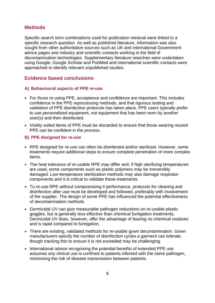### <span id="page-7-0"></span>**Methods**

Specific search term combinations used for publication retrieval were linked to a specific research question. As well as published literature, information was also sought from other authoritative sources such as UK and international Government advice pages and industry and scientific contacts working in the field of decontamination technologies. Supplementary literature searches were undertaken using Google, Google Scholar and PubMed and international scientific contacts were approached to identify relevant unpublished studies.

### <span id="page-7-1"></span>**Evidence based conclusions**

#### <span id="page-7-2"></span>**A) Behavioural aspects of PPE re-use**

- For those re-using PPE, acceptance and confidence are important. This includes confidence in the PPE reprocessing methods, and that rigorous testing and validation of PPE disinfection protocols has taken place. PPE users typically prefer to use personalised equipment, not equipment that has been worn by another user(s) and then disinfected.
- Visibly soiled items of PPE must be discarded to ensure that those wearing reused PPE can be confident in the process.

#### <span id="page-7-3"></span>**B) PPE designed for re-use**

- RPE designed for re-use can often be disinfected and/or sterilized. However, some treatments require additional steps to ensure complete penetration of more complex items.
- The heat tolerance of re-usable RPE may differ and, if high sterilizing temperatures are used, some components such as plastic polymers may be irreversibly damaged. Low-temperature sterilization methods may also damage respirator components and it is critical to validate these treatments.
- To re-use RPE without compromising it performance, protocols for cleaning and disinfection after use must be developed and followed, preferably with involvement of the supplier. The design of some PPE has influenced the potential effectiveness of decontamination methods.
- Germicidal UV can give measurable pathogen reductions on re-usable plastic goggles, but is generally less effective than chemical fumigation treatments. Germicidal UV does, however, offer the advantage of leaving no chemical residues and is rapid compared to fumigation.
- There are existing, validated methods for re-usable gown decontamination. Gown manufacturers specify the number of disinfection cycles a garment can tolerate, though tracking this to ensure it is not exceeded may be challenging.
- International advice recognising the potential benefits of extended PPE use assumes any clinical use is confined to patients infected with the same pathogen, minimising the risk of disease transmission between patients.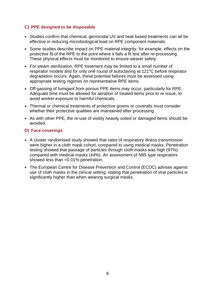### <span id="page-8-0"></span>**C) PPE designed to be disposable**

- Studies confirm that chemical, germicidal UV and heat based treatments can all be effective in reducing microbiological load on RPE component materials.
- Some studies describe impact on PPE material integrity, for example, effects on the protective fit of the RPE to the point where it fails a fit test after re-processing. These physical effects must be monitored to ensure wearer safety.
- For steam sterilization, RPE treatment may be limited to a small number of respirator models and for only one round of autoclaving at 121<sup>o</sup>C before respirator degradation occurs. Again, these potential failures must be assessed using appropriate testing regimes on representative RPE items.
- Off-gassing of fumigant from porous PPE items may occur, particularly for RPE. Adequate time must be allowed for aeration of treated items prior to re-issue, to avoid worker exposure to harmful chemicals.
- Thermal or chemical treatments of protective gowns or coveralls must consider whether their protective qualities are maintained after processing.
- As with other PPE, the re-use of visibly heavily soiled or damaged items should be avoided.

#### <span id="page-8-1"></span>**D) Face coverings**

- A cluster randomised study showed that rates of respiratory illness transmission were higher in a cloth mask cohort, compared to using medical masks. Penetration testing showed that passage of particles through cloth masks was high (97%) compared with medical masks (44%). An assessment of N95 type respirators showed less than <0.01% penetration.
- The European Centre for Disease Prevention and Control (ECDC) advises against use of cloth masks in the clinical setting, stating that penetration of viral particles is significantly higher than when wearing surgical masks.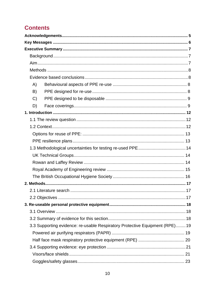# **Contents**

| A)                                                                           |  |
|------------------------------------------------------------------------------|--|
| B)                                                                           |  |
| C)                                                                           |  |
| D)                                                                           |  |
|                                                                              |  |
|                                                                              |  |
|                                                                              |  |
|                                                                              |  |
|                                                                              |  |
|                                                                              |  |
|                                                                              |  |
|                                                                              |  |
|                                                                              |  |
|                                                                              |  |
|                                                                              |  |
|                                                                              |  |
|                                                                              |  |
|                                                                              |  |
|                                                                              |  |
|                                                                              |  |
| 3.3 Supporting evidence: re-usable Respiratory Protective Equipment (RPE) 19 |  |
|                                                                              |  |
|                                                                              |  |
|                                                                              |  |
|                                                                              |  |
|                                                                              |  |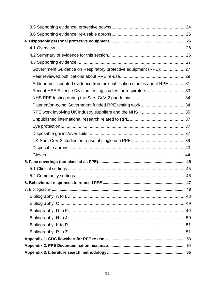| Government Guidance on Respiratory protective equipment (RPE) 27       |  |  |
|------------------------------------------------------------------------|--|--|
|                                                                        |  |  |
| Addendum - updated evidence from pre-publication studies about RPE  31 |  |  |
|                                                                        |  |  |
|                                                                        |  |  |
|                                                                        |  |  |
|                                                                        |  |  |
|                                                                        |  |  |
|                                                                        |  |  |
|                                                                        |  |  |
|                                                                        |  |  |
|                                                                        |  |  |
|                                                                        |  |  |
|                                                                        |  |  |
|                                                                        |  |  |
|                                                                        |  |  |
|                                                                        |  |  |
|                                                                        |  |  |
|                                                                        |  |  |
|                                                                        |  |  |
|                                                                        |  |  |
|                                                                        |  |  |
|                                                                        |  |  |
|                                                                        |  |  |
|                                                                        |  |  |
|                                                                        |  |  |
|                                                                        |  |  |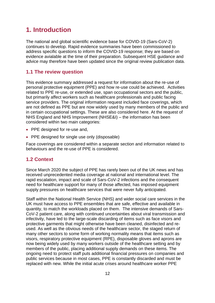# <span id="page-11-0"></span>**1. Introduction**

The national and global scientific evidence base for COVID-19 (Sars-CoV-2) continues to develop. Rapid evidence summaries have been commissioned to address specific questions to inform the COVID-19 response; they are based on evidence avialable at the time of their preparation. Subsequent HSE guidance and advice may therefore have been updated since the original review publication data.

### <span id="page-11-1"></span>**1.1 The review question**

This evidence summary addressed a request for information about the re-use of personal protective equipment (PPE) and how re-use could be achieved. Activities related to PPE re-use, or extended use, span occupational sectors and the public, but primarily affect workers such as healthcare professionals and public facing service providers. The original information request included face coverings, which are not defined as PPE but are now widely used by many members of the public and in certain occupational settings. These are also considered here. At the request of NHS England and NHS Improvement (NHSE&I) – the information has been considered within two main categories:

- PPE designed for re-use and,
- PPE designed for single use only (disposable)

Face coverings are considered within a separate section and information related to behaviours and the re-use of PPE is considered.

### <span id="page-11-2"></span>**1.2 Context**

Since March 2020 the subject of PPE has rarely been out of the UK news and has received unprecedented media coverage at national and international level. The rapid escalation, impact and scale of Sars-CoV-2 infections and the consequent need for healthcare support for many of those affected, has imposed equipment supply pressures on healthcare services that were never fully anticipated.

Staff within the National Health Service (NHS) and wider social care services in the UK must have access to PPE ensembles that are safe, effective and available in quantity, to match the workloads placed on them. The intensive demands of Sars-CoV-2 patient care, along with continued uncertainties about viral transmission and infectivity, have led to the large-scale discarding of items such as face visors and protective garments that might otherwise have been cleaned, disinfected and reused. As well as the obvious needs of the healthcare sector, the staged return of many other sectors to some form of working normality means that items such as visors, respiratory protective equipment (RPE), disposable gloves and aprons are now being widely used by many workers outside of the healthcare setting and by members of the public, placing additional supply demands on these items. The ongoing need to protect staff puts additional financial pressures on companies and public services because in most cases, PPE is constantly discarded and must be replaced with new. While the initial acute crises around healthcare worker PPE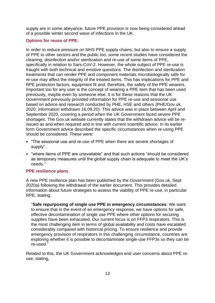supply are in some abeyance, future PPE provision is now being considered ahead of a possible winter second wave of infections in the UK.

#### <span id="page-12-0"></span>**Options for reuse of PPE:**

In order to reduce pressure on NHS PPE supply chains, but also to ensure a supply of PPE to other sectors and the public too, some recent studies have considered the cleaning, disinfection and/or sterilization and re-use of some items of PPE, specifically in relation to Sars-CoV-2. However, the whole subject of PPE re-use is fraught with both technical and emotive questions. The disinfection and sterilization treatments that can render PPE and component materials microbiologically safe for re-use may affect the integrity of the treated items. This has implications for PPE and RPE protection factors, equipment fit and, therefore, the safety of the PPE wearers. Important too for any user is the concept of wearing a PPE item that has been used previously, maybe even by someone else. It is for these reasons that the UK Government previously provided information for PPE re-use and sessional use based on advice and research conducted by PHE, HSE and others (PHE/Gov.uk, 2020; information withdrawn 16.09.20). This advice was in place between April and September 2020, covering a period when the UK Government faced severe PPE shortages. The Gov.uk website currently states that the withdrawn advice will be reissued as and when required and in line with current scientific advice. In its earlier form Government advice described the specific circumstances when re-using PPE should be considered. These were:

- "The sessional use and re-use of PPE when there are severe shortages of supply".
- "where items of PPE are unavailable" and that such actions "should be considered as temporary measures until the global supply chain is adequate to meet the UK's needs*."*

#### <span id="page-12-1"></span>**PPE resilience plans**

A new PPE resilience plan has been published by the Government (Gov.uk, Sept 2020a) following the withdrawal of the earlier document. This provides detailed information about future strategies to assess the viability of PPE re-use, in particular RPE, stating:

"**Safe repurposing of single use PPE in emergency circumstances**: We want to ensure that in the event of an emergency response, we have options for safe, effective decontamination of single use PPE where other options for securing supplies have been exhausted. Our current focus is on FFP3 respirators. This is the most challenging item in terms of global availability and costs have escalated considerably compared with historical pricing. To ensure resilience and provide emergency provision of respirators in this challenging circumstance, countries are exploring whether it is possible to decontaminate single-use FFP3s so they can be re-used."

Related to this, the UK Government acknowledges end user concerns about PPE reuse, stating,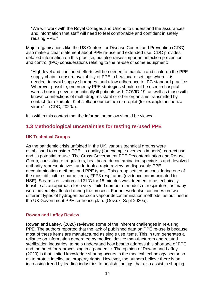"We will work with the Royal Colleges and Unions to understand the assurances and information that staff will need to feel comfortable and confident in safely reusing PPE."

Major organisations like the US Centers for Disease Control and Prevention (CDC) also make a clear statement about PPE re-use and extended use. CDC provides detailed information on this practice, but also raises important infection prevention and control (IPC) considerations relating to the re-use of some equipment:

"High-level and continued efforts will be needed to maintain and scale-up the PPE supply chain to ensure availability of PPE in healthcare settings where it is needed, to avoid supply shortages, and allow adherence to IPC standard practice. Wherever possible, emergency PPE strategies should not be used in hospital wards housing severe or critically ill patients with COVID-19, as well as those with known co-infections of multi-drug resistant or other organisms transmitted by contact (for example ,Klebsiella pneumoniae) or droplet (for example, influenza virus)." – (CDC, 2020a).

It is within this context that the information below should be viewed.

#### <span id="page-13-0"></span>**1.3 Methodological uncertainties for testing re-used PPE**

#### <span id="page-13-1"></span>**UK Technical Groups**

As the pandemic crisis unfolded in the UK, various technical groups were established to consider PPE, its quality (for example overseas imports), correct use and its potential re-use. The Cross-Government PPE Decontamination and Re-use Group, consisting of regulators, healthcare decontamination specialists and devolved authority representatives, undertook a rapid review on disposable PPE decontamination methods and PPE types. This group settled on considering one of the most difficult to source items, FFP3 respirators (evidence communicated to HSE). Steam sterilization at 121˚C for 15 minutes was deemed to be technically feasible as an approach for a very limited number of models of respirators, as many were adversely affected during the process. Further work also continues on two different types of hydrogen peroxide vapour decontamination methods, as outlined in the UK Government PPE resilience plan. (Gov.uk, Sept 2020a).

#### <span id="page-13-2"></span>**Rowan and Laffey Review**

Rowan and Laffey, (2020) reviewed some of the inherent challenges in re-using PPE. The authors reported that the lack of published data on PPE re-use is because most of these items are manufactured as single use items. This in turn generates a reliance on information generated by medical device manufacturers and related sterilization industries, to help understand how best to address this shortage of PPE and the need for reprocessing in a pandemic. The opinion of Rowan and Laffey (2020) is that limited knowledge sharing occurs in the medical technology sector so as to protect intellectual property rights. However, the authors believe there is an increasing trend by leading industries to publish findings that also assist in shaping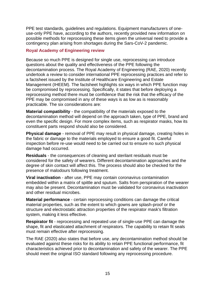PPE test standards, guidelines and regulations. Equipment manufacturers of oneuse-only PPE have, according to the authors, recently provided new information on possible methods for reprocessing these items given the universal need to provide a contingency plan arising from shortages during the Sars-CoV-2 pandemic.

#### <span id="page-14-0"></span>**Royal Academy of Engineering review**

Because so much PPE is designed for single use, reprocessing can introduce questions about the quality and effectiveness of the PPE following the decontamination process. The Royal Academy of Engineering (RAE, 2020) recently undertook a review to consider international PPE reprocessing practices and refer to a factsheet issued by the Institute of [Healthcare Engineering and Estate](https://www.raeng.org.uk/publications/reports/considerations-for-ppe-reprocessing)  [Management](https://www.raeng.org.uk/publications/reports/considerations-for-ppe-reprocessing) (IHEEM). The factsheet highlights six ways in which PPE function may be compromised by reprocessing. Specifically, it states that before deploying a reprocessing method there must be confidence that the risk that the efficacy of the PPE may be compromised in any of these ways is as low as is reasonably practicable. The six considerations are:

**Material compatibility** - the compatibility of the materials exposed to the decontamination method will depend on the approach taken, type of PPE, brand and even the specific design. For more complex items, such as respirator masks, how its constituent parts respond should also be considered.

**Physical damage** - removal of PPE may result in physical damage, creating holes in the fabric or damage to the materials employed to ensure a good fit. Careful inspection before re-use would need to be carried out to ensure no such physical damage had occurred.

**Residuals** - the consequences of cleaning and sterilant residuals must be considered for the safety of wearers. Different decontamination approaches and the degree of skin contact will affect this. The process should also be checked for the presence of malodours following treatment.

**Viral inactivation** - after use, PPE may contain coronavirus contamination embedded within a matrix of spittle and sputum. Salts from perspiration of the wearer may also be present. Decontamination must be validated for coronavirus inactivation and other residual microbes.

**Material performance** - certain reprocessing conditions can damage the critical material properties, such as the extent to which gowns are splash-proof or the structure and electrostatic attraction properties of the respirator mask's filtration system, making it less effective.

**Respirator fit** - reprocessing and repeated use of single-use PPE can damage the shape, fit and elasticated attachment of respirators. The capability to retain fit seals must remain effective after reprocessing.

The RAE (2020) also states that before use, any decontamination method should be evaluated against these risks for its ability to retain PPE functional performance, fit characteristics achieved prior to decontamination and safety of the wearer. The PPE should meet the original ISO standard following any reprocessing procedure.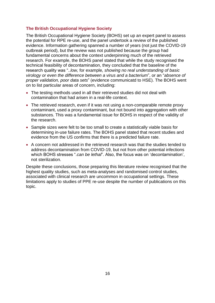#### <span id="page-15-0"></span>**The British Occupational Hygiene Society**

The British Occupational Hygiene Society (BOHS) set up an expert panel to assess the potential for RPE re-use, and the panel undertook a review of the published evidence. Information gathering spanned a number of years (not just the COVID-19 outbreak period), but the review was not published because the group had fundamental concerns about the context underpinning much of the retrieved research. For example, the BOHS panel stated that while the study recognised the technical feasibility of decontamination, they concluded that the baseline of the research quality was "..*low,* for example*, showing no real understanding of basic virology or even the difference between a virus and a bacterium*", or an "*absence of proper validation, poor data sets*" (evidence communicatd to HSE). The BOHS went on to list particular areas of concern, including:

- The testing methods used in all their retrieved studies did not deal with contamination that had arisen in a real-life context.
- The retrieved research, even if it was not using a non-comparable remote proxy contaminant, used a proxy contaminant, but not bound into aggregation with other substances. This was a fundamental issue for BOHS in respect of the validity of the research.
- Sample sizes were felt to be too small to create a statistically viable basis for determining in-use failure rates. The BOHS panel stated that recent studies and evidence from the US confirms that there is a predicted failure rate.
- A concern not addressed in the retrieved research was that the studies tended to address decontamination from COVID-19, but not from other potential infections which BOHS stresses ".*can be lethal*". Also, the focus was on 'decontamination', not sterilization.

Despite these conclusions, those preparing this literature review recognised that the highest quality studies, such as meta-analyses and randomised control studies, associated with clinical research are uncommon in occupational settings. These limitations apply to studies of PPE re-use despite the number of publications on this topic.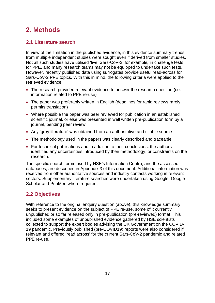# <span id="page-16-0"></span>**2. Methods**

# <span id="page-16-1"></span>**2.1 Literature search**

In view of the limitation in the published evidence, in this evidence summary trends from multiple independent studies were sought even if derived from smaller studies. Not all such studies have utilised 'live' Sars-CoV-2, for example*,* in challenge tests for PPE, and many research teams may not be equipped to undertake such tests. However, recently published data using surrogates provide useful read-across for Sars-CoV-2 PPE topics. With this in mind, the following criteria were applied to the retrieved evidence:

- The research provided relevant evidence to answer the research question (i.e. information related to PPE re-use)
- The paper was preferably written in English (deadlines for rapid reviews rarely permits translation)
- Where possible the paper was peer reviewed for publication in an established scientific journal, or else was presented in well written pre-publication form by a journal, pending peer review
- Any 'grey literature' was obtained from an authoritative and citable source
- The methodology used in the papers was clearly described and traceable
- For technical publications and in addition to their conclusions, the authors identified any uncertainties introduced by their methodology, or constraints on the research.

The specific search terms used by HSE's Information Centre, and the accessed databases, are described in Appendix 3 of this document. Additional information was received from other authoritative sources and industry contacts working in relevant sectors. Supplementary literature searches were undertaken using Google, Google Scholar and PubMed where required.

# <span id="page-16-2"></span>**2.2 Objectives**

With reference to the original enquiry question (above), this knowledge summary seeks to present evidence on the subject of PPE re-use, some of it currently unpublished or so far released only in pre-publication (pre-reviewed) format. This included some examples of unpublished evidence gathered by HSE scientists collected to support the expert bodies advising the UK Government on the COVID-19 pandemic. Previously published (pre-COVID19) reports were also considered if relevant and offered 'read across' for the current Sars-CoV-2 pandemic and related PPE re-use.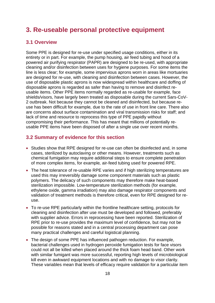# <span id="page-17-0"></span>**3. Re-useable personal protective equipment**

## <span id="page-17-1"></span>**3.1 Overview**

Some PPE is designed for re-use under specified usage conditions, either in its entirety or in part. For example, the pump housing, air feed tubing and hood of a powered air purifying respirator (PAPR) are designed to be re-used, with appropriate cleaning and/or disinfection between uses for hygiene purposes. For some items the line is less clear; for example, some impervious aprons worn in areas like mortuaries are designed for re-use, with cleaning and disinfection between cases. However, the use of disposable plastic aprons is now widespread within healthcare and doffing of disposable aprons is regarded as safer than having to remove and disinfect reusable items. Other PPE items normally regarded as re-usable for example*,* face shields/visors, have largely been treated as disposable during the current Sars-CoV-2 outbreak. Not because they cannot be cleaned and disinfected, but because reuse has been difficult for example*,* due to the rate of use in front line care. There also are concerns about surface contamination and viral transmission risks for staff; and lack of time and resource to reprocess this type of PPE papidly without compromising their performance. This has meant that millions of potentially reusable PPE items have been disposed of after a single use over recent months.

### <span id="page-17-2"></span>**3.2 Summary of evidence for this section**

- Studies show that RPE designed for re-use can often be disinfected and, in some cases, sterilized by autoclaving or other means. However, treatments such as chemical fumigation may require additional steps to ensure complete penetration of more complex items, for example*,* air-feed tubing used for powered RPE.
- The heat tolerance of re-usable RPE varies and if high sterilizing temperatures are used this may irreversibly damage some component materials such as plastic polymers. The delicacy of such components may therefore make heat-based sterilization impossible. Low-temperature sterilization methods (for example*,* ethylene oxide, gamma irradiation) may also damage respirator components and validation of treatment methods is therefore critical, even for RPE designed for reuse.
- To re-use RPE particularly within the frontline healthcare setting, protocols for cleaning and disinfection after use must be developed and followed, preferably with supplier advice. Errors in reprocessing have been reported. Sterilization of RPE prior to re-use provides the maximum level of confidence, but may not be possible for reasons stated and in a central processing department can pose many practical challenges and careful logistical planning.
- The design of some PPE has influenced pathogen reduction. For example, bacterial challenges used in hydrogen peroxide fumigation tests for face visors could not all be killed when placed around the thick foam head band. Other work with similar fumigant was more successful, reporting high levels of microbiological kill even in awkward equipment locations and with no damage to visor clarity. These variables mean that levels of efficacy require validation for a particular item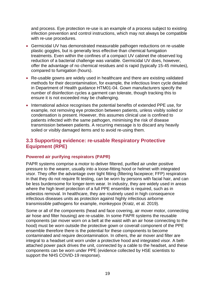and process. Eye protection re-use is an example of a process subject to existing infection prevention and control instructions, which may not always be compatible with re-use procedures.

- Germicidal UV has demonstrated measurable pathogen reductions on re-usable plastic goggles, but is generally less effective than chemical fumigation treatments. Even within the confines of a compact UV cabinet the observed log reduction of a bacterial challenge was variable. Germicidal UV does, however, offer the advantage of no chemical residues and is rapid (typically 15-45 minutes), compared to fumigation (hours).
- Re-usable gowns are widely used in healthcare and there are existing validated methods for their decontamination, for example*,* the infectious linen cycle detailed in Department of Health guidance HTM01-04. Gown manufacturers specify the number of disinfection cycles a garment can tolerate, though tracking this to ensure it is not exceeded may be challenging.
- International advice recognises the potential benefits of extended PPE use, for example*,* not removing eye protection between patients, unless visibly soiled or condensation is present. However, this assumes clinical use is confined to patients infected with the same pathogen, minimising the risk of disease transmission between patients. A recurring message is to discard any heavily soiled or visibly damaged items and to avoid re-using them.

### <span id="page-18-0"></span>**3.3 Supporting evidence: re-usable Respiratory Protective Equipment (RPE)**

#### <span id="page-18-1"></span>**Powered air purifying respirators (PAPR)**

PAPR systems comprise a motor to deliver filtered, purified air under positive pressure to the wearer, usually into a loose-fitting hood or helmet with integrated visor. They offer the advantage over tight fitting (filtering facepiece; FFP) respirators in that they do not require fit testing, can be worn by persons with facial hair, and can be less burdensome for longer-term wear. In industry, they are widely used in areas where the high level protection of a full PPE ensemble is required, such as in asbestos removal. In healthcare, they are routinely used in high consequence infectious diseases units as protection against highly infectious airborne transmissible pathogens for example, monkeypox (Kratz, et al. 2019).

Some or all of the components (head and face covering, air mover motor, connecting air hose and filter housing) are re-usable. In some PAPR systems the reusable components (air mover worn on a belt at the waist with an air hose connecting to the hood) must be worn outside the protective gown or coverall component of the PPE ensemble therefore there is the potential for these components to become contaminated and require decontamination. In others, the air mover and filter are integral to a headset unit worn under a protective hood and integrated visor. A beltattached power pack drives the unit, connected by a cable to the headset, and these components can be worn under PPE (evidence collected by HSE scientists to support the NHS COVID-19 response).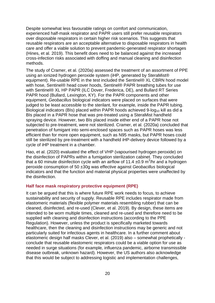Despite somewhat less favourable ratings on comfort and communication, experienced half-mask respirator and PAPR users still prefer reusable respirators over disposable respirators in certain higher risk scenarios. This suggests that reusable respirators are an acceptable alternative to disposable respirators in health care and offer a viable solution to prevent pandemic-generated respirator shortages (Hines, et al. 2019). This benefit does need to be balanced against the increased cross-infection risks associated with doffing and manual cleaning and disinfection methods.

The study of Cramer, et al. (2020a) assessed the treatment of an assortment of PPE using an ionized hydrogen peroxide system (iHP, generated by SteraMist® equipment). Re-usable RPE in the test included the Sentinel® XL CBRN hood model with hose, Sentinel® head cover hoods, Sentinel® PAPR breathing tubes for use with Sentinel® XL HP PAPR (ILC Dover, Frederica, DE), and Bullard RT Series PAPR hood (Bullard, Lexington, KY). For the PAPR components and other equipment, *Geobacillus* biological indicators were placed on surfaces that were judged to be least accessible to the sterilant, for example*,* inside the PAPR tubing. Biological indicators (BIs) placed within PAPR hoods achieved 9-log<sub>10</sub> kill as did a BIs placed in a PAPR hose that was pre-treated using a SteraMist handheld spraying device. However, two BIs placed inside either end of a PAPR hose not subjected to pre-treatment, were not sterilized. Cramer, et al. (2020a) concluded that penetration of fumigant into semi-enclosed spaces such as PAPR hoses was less efficient than for more open equipment, such as N95 masks, but PAPR hoses could still be sterilized by pre-treatment with a handheld iHP-delivery device followed by a cycle of iHP treatment in a chamber.

Hao, et al. (2020) evaluated the effect of VHP (vapourised hydrogen peroxide) on the disinfection of PAPRs within a fumigation sterilization cabinet. They concluded that a 60 minute disinfection cycle with an airflow of 11.4  $\pm$ 0.9 m<sup>3</sup>/hr and a hydrogen peroxide consumption of 50 ±30g was effective against *Geobacillus* biological indicators and that the function and material physical properties were unaffected by the disinfection.

#### <span id="page-19-0"></span>**Half face mask respiratory protective equipment (RPE)**

It can be argued that this is where future RPE work needs to focus, to achieve sustainability and security of supply. Reusable RPE includes respirator made from elastomeric materials (flexible polymer materials resembling rubber) that can be cleaned, disinfected, and re-used (Clever, et al. 2019). By design, these items are intended to be worn multiple times, cleaned and re-used and therefore need to be supplied with cleaning and disinfection instructions (according to the PPE Regulation). However, unless the product is specifically marketed towards healthcare, then the cleaning and disinfection instructions may be generic and not particularly suited for infectious agents in healthcare. In a further comment about elastomeric design half masks Clever, et al. (2019) also – somewhat prophetically conclude that reusable elastomeric respirators could be a viable option for use as needed in surge situations (for example*,* influenza pandemic, airborne transmissible disease outbreak, unknown hazard). However, the US authors also acknowledge that this would be subject to addressing logistic and implementation challenges,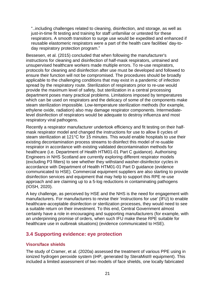"..including challenges related to cleaning, disinfection, and storage, as well as just-in-time fit testing and training for staff unfamiliar or untested for these respirators. A smooth transition to surge use would be expedited and enhanced if reusable elastomeric respirators were a part of the health care facilities' day-today respiratory protection program."

Bessesen, et al. (2015) concluded that when following the manufacturer's instructions for cleaning and disinfection of half-mask respirators, untrained and unsupervised healthcare workers made multiple errors. To re-use respirators, protocols for cleaning and disinfection after use must be developed and followed to ensure their function will not be compromised. The procedures should be broadly applicable to the challenging conditions that may exist in a pandemic of infection spread by the respiratory route. Sterilization of respirators prior to re-use would provide the maximum level of safety, but sterilization in a central processing department poses many practical problems. Limitations imposed by temperatures which can be used on respirators and the delicacy of some of the components make steam sterilization impossible. Low-temperature sterilization methods (for example*,* ethylene oxide, radiation) also may damage respirator components. Intermediatelevel disinfection of respirators would be adequate to destroy influenza and most respiratory viral pathogens.

Recently a respirator manufacturer undertook efficiency and fit testing on their halfmask respirator model and changed the instructions for use to allow 8 cycles of steam sterilization at 121°C for 15 minutes. This would enable hospitals to use their existing decontamination process streams to disinfect this model of re-suable respirator in accordance with existing validated decontamination methods for healthcare (i.e. Department of Health HTM01-01 Part C guidance). Authorising Engineers in NHS Scotland are currently exploring different respirator models (excluding P3 filters) to see whether they withstand washer-disinfector cycles in accordance with Department of Health HTM01-01 Part D guidance (evidence communicated to HSE). Commercial equipment suppliers are also starting to provide disinfection services and equipment that may help to support this RPE re-use approach and are claiming up to a 5-log reductions in contaminating pathogens (IOSH, 2020).

A key challenge, as perceived by HSE and the NHS is the need for engagement with manufacturers. For manufacturers to revise their 'instructions for use' (IFU) to enable healthcare-acceptable disinfection or sterilization processes, they would need to see a suitable return on their investment. To this end, Central Government almost certainly have a role in encouraging and supporting manufacturers (for example*,* with an underpinning promise of orders, when such IFU make these RPE suitable for healthcare use in outbreak situations) (evidence communicated to HSE).

### <span id="page-20-2"></span><span id="page-20-0"></span>**3.4 Supporting evidence: eye protection**

#### <span id="page-20-1"></span>**Visors/face shields**

The study of Cramer, et al. (2020a) assessed the treatment of various PPE using in ionized hydrogen peroxide system (iHP, generated by SteraMist® equipment). This included a limited assessment of two models of face shields, one locally fabricated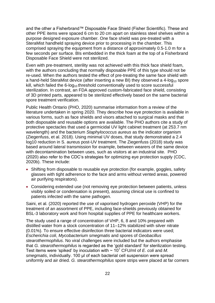and the other a Fisherbrand™ Disposable Face Shield (Fisher Scientific). These and other PPE items were spaced 6 cm to 20 cm apart on stainless steel shelves within a purpose designed exposure chamber. One face shield was pre-treated with a SteraMist handheld spraying device prior to processing in the chamber. This comprised spraying the equipment from a distance of approximately 0.5-1.0 m for a few seconds per surface. BIs embedded in the thick foam at the top of a Fisherbrand Disposable Face Shield were not sterilized.

Even with pre-treatment, sterility was not achieved with this thick face shield foam, with the authors concluding that normally disposable PPE of this type should not be re-used. When the authors tested the effect of pre-treating the same face shield with a hand-held SteraMist device (after inserting a new BI) they observed a  $4$ -log<sub>10</sub> spore kill, which failed the  $6$ -log<sub>10</sub> threshold conventionally used to score successful sterilization. In contrast, an FDA approved custom-fabricated face shield, consisting of 3D printed parts, appeared to be sterilized effectively based on the same bacterial spore treatment verification.

Public Health Ontario (PHO, 2020) summarise information from a review of the literature undertaken in spring 2020. They describe how eye protection is available in various forms, such as face shields and visors attached to surgical masks and that both disposable and reusable options are available. The PHO authors cite a study of protective spectacles that used a germicidal UV light cabinet treatment (at 253.7 nm wavelength) and the bacterium *Staphylococcus aureus* as the indicator organism (Ziegenfuss, et al. 2018). Using minimal UV doses, that study demonstrated a 2.4 log10 reduction in S. aureus post-UV treatment. The Ziegenfuss (2018) study was based around lateral transmission for example, between wearers of the same device with decontamination between uses, such as visitors at an industrial site. PHO (2020) also refer to the CDC's strategies for optimizing eye protection supply (CDC, 2020b). These include:

- Shifting from disposable to reusable eye protection (for example, goggles, safety glasses with tight adherence to the face and arms without vented areas, powered air purifying respirators).
- Considering extended use (not removing eye protection between patients, unless visibly soiled or condensation is present), assuming clinical use is confined to patients infected with the same pathogen.

Saini, et al. (2020) reported the use of vaporised hydrogen peroxide (VHP) for the treatment of an assortment of PPE, including face-shields previously obtained for BSL-3 laboratory work and from hospital supplies of PPE for healthcare workers.

The study used a range of concentration of VHP, 6, 8 and 10% prepared with distilled water from a stock concentration of 11–12% stabilized with silver nitrate (0.01%). To ensure effective disinfection three bacterial indicators were used; *Escherichia coli*, *Mycobacterium smegmatis* and spores of *Geobacillus stearothermophilus*. No viral challenges were included but the authors emphasise that *G. stearothermophilus* is regarded as the 'gold standard' for sterilization testing. Test items were 'spiked' by inoculation with  $\sim 10^7$  CFU/ml of *E. coli* and *M. smegmatis*, individually. 100 μl of each bacterial cell suspension were spread uniformly and air dried. *G. stearothermophilus* spore strips were placed at far corners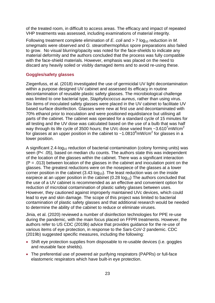of the treated room, in difficult to access areas. The efficacy and impact of repeated VHP treatments was assessed, including examinations of material integrity.

Following treatment complete elimination of *E. coli* and > 7 log<sub>10</sub> reduction in *M. smegmatis* were observed and *G. stearothermophilus* spore preparations also failed to grow. No visual blurring/opacity was noted for the face-shields to indicate any material deformity and the authors concluded that the process was fully compatible with the face-shield materials. However, emphasis was placed on the need to discard any heavily soiled or visibly damaged items and to avoid re-using these.

#### <span id="page-22-0"></span>**Goggles/safety glasses**

Ziegenfuss, et al. (2018) investigated the use of germicidal UV light decontamination within a purpose designed UV cabinet and assessed its efficacy in routine decontamination of reusable plastic safety glasses. The microbiological challenge was limited to one bacterial type, *Staphylococcus aureus*, rather than using virus. Six items of inoculated safety glasses were placed in the UV cabinet to facilitate UV based surface disinfection. Glasses were new at first use and decontaminated with 70% ethanol prior to inoculation and were positioned equidistance but utilising all parts of the cabinet. The cabinet was operated for a standard cycle of 15 minutes for all testing and the UV dose was calculated based on the use of a bulb that was half way through its life cycle of 3500 hours; the UVc dose varied from  $\sim$ 3.610<sup>7</sup>mW/cm<sup>2</sup> for glasses at an upper position in the cabinet to ~1.0810 $\textdegree$ mW/cm<sup>2</sup> for glasses in a lower position.

A significant 2.4-log<sub>10</sub> reduction of bacterial contamination (colony forming units) was seen (P< .05), based on median cfu counts. The authors state this was independent of the location of the glasses within the cabinet. There was a significant interaction  $(P = .013)$  between location of the glasses in the cabinet and inoculation point on the glasses. The greatest reductions were on the nosepiece of the glasses at a lower corner position in the cabinet  $(3.43 \log_{10})$ . The least reduction was on the inside earpiece at an upper position in the cabinet  $(0.28 \log_{10})$  The authors concluded that the use of a UV cabinet is recommended as an effective and convenient option for reduction of microbial contamination of plastic safety glasses between uses. However, they cautioned against improperly maintained UVc devices, which could lead to eye and skin damage. The scope of this project was limited to bacterial contamination of plastic safety glasses and that additional research would be needed to determine the ability of the cabinet to reduce or eliminate viruses.

Jinia, et al. (2020) reviewed a number of disinfection technologies for PPE re-use during the pandemic, with the main focus placed on FFPR treatments. However, the authors refer to US CDC (2019b) advice that provides guidance for the re-use of various items of eye protection, in response to the Sars-CoV-2 pandemic. CDC (2019b) suggested specific measures, including the following:

- Shift eye protection supplies from disposable to re-usable devices (i.e. goggles and reusable face shields).
- The preferential use of powered air purifying respirators (PAPRs) or full-face elastomeric respirators which have built-in eye protection.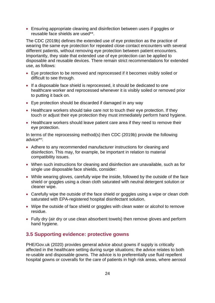Ensuring appropriate cleaning and disinfection between users if goggles or reusable face shields are used\*\*.

The CDC (2019b) defines the extended use of eye protection as the practice of wearing the same eye protection for repeated close contact encounters with several different patients, without removing eye protection between patient encounters. Importantly, they state that extended use of eye protection can be applied to disposable and reusable devices. There remain strict recommendations for extended use, as follows:

- Eye protection to be removed and reprocessed if it becomes visibly soiled or difficult to see through.
- If a disposable face shield is reprocessed, it should be dedicated to one healthcare worker and reprocessed whenever it is visibly soiled or removed prior to putting it back on.
- Eye protection should be discarded if damaged in any way
- Healthcare workers should take care not to touch their eye protection. If they touch or adjust their eye protection they must immediately perform hand hygiene.
- Healthcare workers should leave patient care area if they need to remove their eye protection.

In terms of the reprocessing method(s) then CDC (2019b) provide the following advice\*\*:

- Adhere to any recommended manufacturer instructions for cleaning and disinfection. This may, for example, be important in relation to material compatibility issues.
- When such instructions for cleaning and disinfection are unavailable, such as for single use disposable face shields, consider:
- While wearing gloves, carefully wipe the inside, followed by the outside of the face shield or goggles using a clean cloth saturated with neutral detergent solution or cleaner wipe.
- Carefully wipe the outside of the face shield or goggles using a wipe or clean cloth saturated with EPA-registered hospital disinfectant solution.
- Wipe the outside of face shield or goggles with clean water or alcohol to remove residue.
- Fully dry (air dry or use clean absorbent towels) then remove gloves and perform hand hygiene.

### <span id="page-23-0"></span>**3.5 Supporting evidence: protective gowns**

PHE/Gov.uk (2020) provides general advice about gowns if supply is critically affected in the healthcare setting during surge situations; the advice relates to both re-usable and disposable gowns. The advice is to preferentially use fluid repellent hospital gowns or coveralls for the care of patients in high risk areas, where aerosol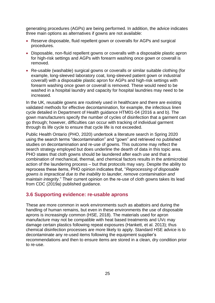generating procedures (AGPs) are being performed. In addition, the advice indicates three main options as alternatives if gowns are not available:

- Reserve disposable, fluid repellent gown or coveralls for AGPs and surgical procedures.
- Disposable, non-fluid repellent gowns or coveralls with a disposable plastic apron for high-risk settings and AGPs with forearm washing once gown or coverall is removed.
- Re-usable (washable) surgical gowns or coveralls or similar suitable clothing (for example, long-sleeved laboratory coat, long-sleeved patient gown or industrial coverall) with a disposable plastic apron for AGPs and high-risk settings with forearm washing once gown or coverall is removed. These would need to be washed in a hospital laundry and capacity for hospital laundries may need to be increased.

In the UK, reusable gowns are routinely used in healthcare and there are existing validated methods for effective decontamination, for example, the infectious linen cycle detailed in Department of Health guidance HTM01-04 (2016 a and b). The gown manufacturers specify the number of cycles of disinfection that a garment can go through; however, difficulties can occur with tracking of individual garment through its life cycle to ensure that cycle life is not exceeded.

Public Health Ontario (PHO, 2020) undertook a literature search in Spring 2020 using the search terms "decontamination" and "gown" and retrieved no published studies on decontamination and re-use of gowns. This outcome may reflect the search strategy employed but does underline the dearth of data in this topic area. PHO states that cloth gowns should be laundered after each use and that a combination of mechanical, thermal, and chemical factors results in the antimicrobial action of the laundering process – but that protocols may vary. Despite the ability to reprocess these items, PHO opinion indicates that, "*Reprocessing of disposable gowns is impractical due to the inability to launder, remove contamination and maintain integrity*." Their current opinion on the re-use of cloth gowns takes its lead from CDC (2019a) published guidance.

#### <span id="page-24-0"></span>**3.6 Supporting evidence: re-usable aprons**

These are more common in work environments such as abattoirs and during the handling of human remains, but even in these environments the use of disposable aprons is increasingly common (HSE, 2018). The materials used for apron manufacture may not be compatible with heat based treatments and UVc may damage certain plastics following repeat exposures (Hankett, et al. 2013); thus chemical disinfection processes are more likely to apply. Standard HSE advice is to decontaminate any re-used items following the equipment supplier's recommendations and then to ensure items are stored in a clean, dry condition prior to re-use.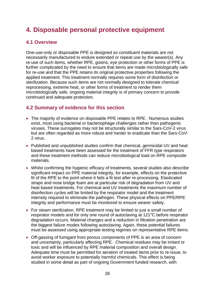# <span id="page-25-0"></span>**4. Disposable personal protective equipment**

### <span id="page-25-1"></span>**4.1 Overview**

One-use-only or disposable PPE is designed so constituent materials are not necessarily manufactured to endure extended or repeat use by the wearer(s). Any re-use of such items, whether RPE, gowns, eye protection or other forms of PPE is further complicated by the need to ensure that items are made microbiologically safe for re-use and that the PPE retains its original protective properties following the applied treatment. This treatment normally requires some form of disinfection or sterilization. Because such items are not normally designed to tolerate chemical reprocessing, extreme heat, or other forms of treatment to render them microbiologically safe, ongoing material integrity is of primary concern to provide continued and adequate protection.

### <span id="page-25-2"></span>**4.2 Summary of evidence for this section**

- The majority of evidence on disposable PPE relates to RPE. Numerous studies exist, most using bacterial or bacteriophage challenges rather than pathogenic viruses. These surrogates may not be structurally similar to the Sars-CoV-2 virus but are often regarded as more robust and harder to eradicate than the Sars-CoV-2 virus.
- Published and unpublished studies confirm that chemical, germicidal UV and heat based treatments have been assessed for the treatment of FFR type respirators and these treatment methods can reduce microbiological load on RPE composite materials.
- Whilst confirming the hygienic efficacy of treatments, several studies also describe significant impact on PPE material integrity, for example*,* effects on the protective fit of the RPE to the point where it fails a fit test after re-processing. Elasticated straps and nose bridge foam are at particular risk of degradation from UV and heat based treatments. For chemical and UV treatments the maximum number of disinfection cycles will be limited by the respirator model and the treatment intensity required to eliminate the pathogen. These physical effects on PPE/RPE integrity and performance must be monitored to ensure wearer safety.
- For steam sterilization, RPE treatment may be limited to just a small number of respirator models and for only one round of autoclaving at 121<sup>o</sup>C before respirator degradation occurs. Material changes and a reduction in filtration penetration are the biggest failure modes following autoclaving. Again, these potential failures must be assessed using appropriate testing regimes on representative RPE items.
- Off-gassing of fumigant from porous components of PPE is an area of concern and uncertainty, particularly affecting RPE. Chemical residues may be irritant or toxic and will be influenced by RPE material composition and overall design. Adequate time must be permitted for aeration of treated items prior to re-issue, to avoid worker exposure to potentially harmful chemicals. This effect is being studied in some detail as part of ongoing Government funded research, with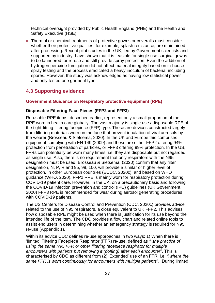technical oversight provided by Public Health England (PHE) and the Health and Safety Executive (HSE).

 Thermal or chemical treatments of protective gowns or coveralls must consider whether their protective qualities, for example*,* splash resistance, are maintained after processing. Recent pilot studies in the UK, led by Government scientists and supported by industry, have shown that it is feasible for single use surgical gowns to be laundered for re-use and still provide spray protection. Even the addition of hydrogen peroxide fumigation did not affect material integrity based on in-house spray testing and the process eradicated a heavy inoculum of bacteria, including spores. However, the study was acknowledged as having low statistical power and only tested one garment type.

# <span id="page-26-0"></span>**4.3 Supporting evidence**

#### <span id="page-26-1"></span>**Government Guidance on Respiratory protective equipment (RPE)**

#### **Disposable Filtering Face Pieces (FFP2 and FFP3)**

Re-usable RPE items, described earlier, represent only a small proportion of the RPE worn in health care globally. The vast majority is single use / disposable RPE of the tight-fitting filtering facepiece (FFP) type. These are devices constructed largely from filtering materials worn on the face that prevent inhalation of viral aerosols by the wearer (Brosseau & Sietsema, 2020). In the UK and Europe this comprises equipment complying with EN 149 (2009) and these are either FFP2 offering 94% protection from penetration of particles, or FFP3 offering 99% protection. In the US, FFRs can potentially be worn many times, i.e. they are disposable but not regarded as single use. Also, there is no requirement that only respirators with the N95 designation must be used. Brosseau & Sietsema, (2020) confirm that any filter designation, N, P, R and 95, 99, 100, will provide a similar or higher level of protection. In other European countries (ECDC, 2020c), and based on WHO guidance (WHO, 2020), FFP2 RPE is mainly worn for respiratory protection during COVID-19 patient care. However, in the UK, on a precautionary basis and following the COVID-19 infection prevention and control (IPC) guidelines (UK Government, 2020) FFP3 RPE is recommended for wear during aerosol generating procedures with COVID-19 patients.

The US Centers for Disease Control and Prevention (CDC, 2020c) provides advice related to the use of N95 respirators, a close equivalent to UK FFP2. This advises how disposable RPE might be used when there is justification for its use beyond the intended life of the item. The CDC provides a flow chart and related online tools to assist end users in determining whether an emergency strategy is required for N95 re-use (Appendix 1).

Within its advice CDC defines re-use approaches in two ways: 1) When there is 'limited' Filtering Facepiece Respirator (FFR) re-use, defined as *"..the practice of using the same N95 FFR or other filtering facepiece respirator for multiple encounters with patients but removing it (doffing) after each encounter*". This is characterised by CDC as different from (2) 'Extended' use of an FFR, i.e. *".where the same FFR is worn continuously for encounters with multiple patients*". During limited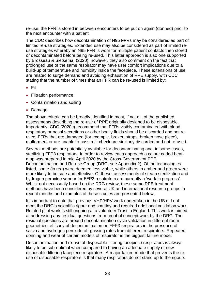re-use, the FFR is stored in between encounters to be put on again (donned) prior to the next encounter with a patient.

The CDC describes how decontamination of N95 FFRs may be considered as part of limited re-use strategies. Extended use may also be considered as part of limited reuse strategies whereby an N95 FFR is worn for multiple patient contacts then stored or decontaminated before being re-used. This latter approach is also one supported by Brosseau & Sietsema, (2020), however, they also comment on the fact that prolonged use of the same respirator may have user comfort implications due to a build-up of temperature and humidity inside the facepiece. These extensions of use are related to surge demand and avoiding exhaustion of RPE supply, with CDC stating that the number of times that an FFR can be re-used is limited by:

- Fit
- Filtration performance
- Contamination and soiling
- Damage

The above criteria can be broadly identified in most, if not all, of the published assessments describing the re-use of RPE originally designed to be disposable. Importantly, CDC (2020c) recommend that FFRs visibly contaminated with blood, respiratory or nasal secretions or other bodily fluids should be discarded and not reused. FFRs that are damaged (for example*,* broken straps, broken nose piece), malformed, or are unable to pass a fit check are similarly discarded and not re-used.

Several methods are potentially available for decontaminating and, in some cases, sterilizing FFP3 respirators. In order to review each approach a colour coded heatmap was prepared in mid-April 2020 by the Cross-Government PPE Decontamination and Re-use Group (DRG; see Appendix 2). Of the technologies listed, some (in red) were deemed less viable, while others in amber and green were more likely to be safe and effective. Of these, assessments of steam sterilization and hydrogen peroxide vapour for FFP3 respirators are currently a 'work in progress'. Whilst not necessarily based on the DRG review, these same RPE treatment methods have been considered by several UK and international research groups in recent months and examples of these studies are presented below.

It is important to note that previous VHP/HPV work undertaken in the US did not meet the DRG's scientific rigour and scrutiny and required additional validation work. Related pilot work is still ongoing at a volunteer Trust in England. This work is aimed at addressing any residual questions from proof of concept work by the DRG. The residual questions are around decontamination cycle validation in different room geometries, efficacy of decontamination on FFP3 respirators in the presence of saliva and hydrogen peroxide off-gassing rates from different respirators. Repeated donning and wear of certain models of respirator is the biggest failure mode.

Decontamination and re-use of disposable filtering facepiece respirators is always likely to be sub-optimal when compared to having an adequate supply of new disposable filtering facepiece respirators. A major failure mode that prevents the reuse of disposable respirators is that many respirators do not stand up to the rigours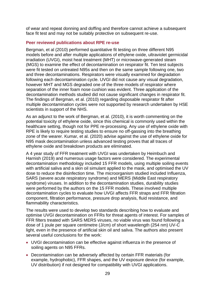of wear and repeat donning and doffing and therefore cannot achieve a subsequent face fit test and may not be suitably protective on subsequent re-use.

#### <span id="page-28-0"></span>**Peer reviewed publications about RPE re-use**

Bergman, et al (2010) performed quantitative fit testing on three different N95 models before and after multiple applications of ethylene oxide, ultraviolet germicidal irradiation (UVGI), moist heat treatment (MHT) or microwave-generated steam (MGS) to examine the effect of decontamination on respirator fit. Ten test subjects were fit tested on untreated N95s and then on the same sample following one, two and three decontaminations. Respirators were visually examined for degradation following each decontamination cycle. UVGI did not cause any visual degradation, however MHT and MGS degraded one of the three models of respirator where separation of the inner foam nose cushion was evident. Three application of the decontamination methods studied did not cause significant changes in respirator fit. The findings of Bergman, et al. (2010) regarding disposable respirator fit after multiple decontamination cycles were not supported by research undertaken by HSE scientists in support of the NHS.

As an adjunct to the work of Bergman, et al. (2010), it is worth commenting on the potential toxicity of ethylene oxide, since this chemical is commonly used within the healthcare setting, though not for PPE re-processing. Any use of ethylene oxide with RPE is likely to require testing studies to ensure no off-gassing into the breathing zone of the wearer. Kumar, et al. (2020) advise against the use of ethylene oxide for N95 mask decontamination unless advanced testing proves that all traces of ethylene oxide and breakdown products are eliminated.

A 4 year study of FFR treatment with UVGI was undertaken by Heimbuch and Harnish (2019) and numerous usage factors were considered. The experimental decontamination methodology included 15 FFR models, using multiple soiling events with artificial saliva and a skin oil simulant applied to the mask, and optimised the UV dose to reduce the disinfection time. The microorganism studied included Influenza, SARS (severe acute respiratory syndrome) and MERS (Middle East respiratory syndrome) viruses. In addition to the decontamination studies, durability studies were performed by the authors on the 15 FFR models. These involved multiple decontamination cycles to evaluate how UVGI affects FFR straps and FFR filtration component, filtration performance, pressure drop analysis, fluid resistance, and flammability characteristics.

The results were used to develop two standards describing how to evaluate and optimise UVGI decontamination on FFRs for threat agents of interest. For samples of FFR filters treated with SARS MERS viruses, no viable virus was found following a dose of 1 joule per square centimetre (J/cm) of short wavelength (254 nm) UV-C light, even in the presence of artificial skin oil and saliva. The authors also present several useful conclusions for the work:

- UVGI decontamination can be effective against influenza in the presence of soiling agents on N95 FFRs.
- Decontamination can be adversely affected by certain FFR materials (for example, hydrophobic), FFR shapes, and the UV exposure device (for example, UV distribution) if not designed for compatibility with UVGI applications.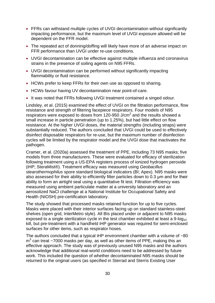- FFRs can withstand multiple cycles of UVGI decontamination without significantly impacting performance, but the maximum level of UVGI exposure allowed will be dependent on the FFR model.
- The repeated act of donning/doffing will likely have more of an adverse impact on FFR performance than UVGI under re-use conditions.
- UVGI decontamination can be effective against multiple influenza and coronavirus strains in the presence of soiling agents on N95 FFRs.
- UVGI decontamination can be performed without significantly impacting flammability or fluid resistance.
- HCWs prefer to keep FFRs for their own use as opposed to sharing.
- HCWs favour having UV decontamination near point-of-care.
- It was noted that FFRs following UVGI treatment contained a singed odour.

Lindsley, et al. (2015) examined the effect of UVGI on the filtration performance, flow resistance and strength of filtering facepiece respirators. Four models of N95 respirators were exposed to doses from 120-950 J/cm<sup>2</sup> and the results showed a small increase in particle penetration (up to 1.25%), but had little effect on flow resistance. At the higher UVGI doses, the material strengths (including straps) were substantially reduced. The authors concluded that UVGI could be used to effectively disinfect disposable respirators for re-use, but the maximum number of disinfection cycles will be limited by the respirator model and the UVGI dose that inactivates the pathogen.

Cramer, et al. (2020a) assessed the treatment of PPE, including 73 N95 masks; five models from three manufacturers. These were evaluated for efficacy of sterilization following treatment using a US-EPA registers process of ionized hydrogen peroxide (iHP; SteraMist®). Treatment efficacy was measured using *Geobacillus stearothermophilus* spore standard biological indicators (BI; Apex). N95 masks were also assessed for their ability to efficiently filter particles down to 0.3 μm and for their ability to form an airtight seal using a quantitative fit test. Filtration efficiency was measured using ambient particulate matter at a university laboratory and an aerosolized NaCl challenge at a National Institute for Occupational Safety and Health (NIOSH) pre-certification laboratory.

The study showed that processed masks retained function for up to five cycles. Masks were placed with their interior surfaces facing up on standard stainless-steel shelves (open grid, InterMetro style). All BIs placed under or adjacent to N95 masks exposed to a single sterilization cycle in the test chamber exhibited at least a 9-log<sub>10</sub> kill, but pre-treatment with a handheld iHP generator was required for semi-enclosed surfaces for other items, such as respirator hoses.

The authors concluded that a typical iHP environment chamber with a volume of  $~80$  $m<sup>3</sup>$  can treat ~7000 masks per day, as well as other items of PPE, making this an effective approach. The study was of previously unused N95 masks and the authors acknowledge that additional real-world conditions need to be addressed by future work. This included the question of whether decontaminated N95 masks should be returned to the original users (as specified in Sterrad and Sterris Existing User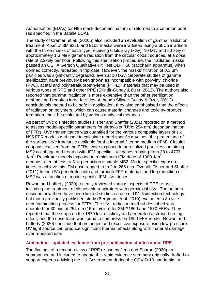Authorisation (EUAs) for N95 mask decontamination) or returned to a common pool (as specified in the Batelle EUA).

The study of Cramer, et al. (2020b) also included an evaluation of gamma irradiation treatment. A set of 3M 8210 and 9105 masks were irradiated using a 60Co irradiator, with the three masks of each type receiving 0 kiloGray (kGy), 10 kGy and 50 kGy of approximately 1.3 MeV gamma radiation from the circular cobalt sources, at a dose rate of 2.2kGy per hour. Following this sterilization procedure, the irradiated masks passed an OSHA Gerson Qualitative Fit Test QLFT 50 (saccharin apparatus) when donned correctly, repeated in triplicate. However, the masks' filtration of 0.3 µm particles was significantly degraded, even at 10 kGy. Separate studies of gamma sterilization have previously been shown as incompatible with polyvinyl chloride (PVC), acetal and polytetrafluoroethylene (PTFE); materials that may be used in various types of RPE and other PPE (Silindir-Gunay & Ozer, 2012). The authors also reported that gamma irradiation is more expensive than the other sterilization methods and requires large facilities. Although Silindir-Gunay & Ozer, (2012) conclude this method to be safe in application, they also emphasised that the effects of radiation on polymers, which can cause material changes and toxic by-product formation, must be evaluated by various analytical methods.

As part of UVc disinfection studies Fisher and Shaffer (2011) reported on a method to assess model-specific parameters for ultraviolet (UVc; 254 nm) decontamination of FFRs. UVc transmittance was quantified for the various composite layers of six N95 FFR models and used to calculate model-specific α-values, the percentage of the surface UVc irradiance available for the internal filtering medium (IFM). Circular coupons, excised from the FFRs, were exposed to aerosolized particles containing MS2 coliphage and treated with IFM-specific UVc doses ranging from 38 to 4707 J/m<sup>2</sup>. Respirator models exposed to a minimum IFM dose of 1000 J/m<sup>2</sup> demonstrated at least a 3-log reduction in viable MS2. Model-specific exposure times to achieve this IFM dose ranged from 2 to 266 min. Overall, Fisher and Shaffer (2011) found UVc penetrates into and through FFR materials and log reduction of MS2 was a function of model-specific IFM UVc doses.

Rowan and Lafferty (2020) recently reviewed various aspects of PPE re-use, including the treatment of disposable respirators with germicidal UVc. The authors describe how there have been limited studies on use of UV-disinfection technology but that a previously published study (Bergman, et al. 2010) evaluated a 3-cycle decontamination process for FFRs. The UV irradiation method described was operated for 30 min at 254 nm (15-min/side) for 3M™1860 and 1870 FFRs. They reported that the straps on the 1870 lost elasticity and generated a strong burning odour, and the nose foam was found to compress on 1860 FFR model. Rowan and Lafferty (2020) conclude that prolonged and excessive exposure using low-pressure UV light source can produce significant thermal effects along with material damage over repeated use.

#### <span id="page-30-0"></span>**Addendum - updated evidence from pre-publication studies about RPE**

The findings of a recent review of RPE re-use by Jena and Sharan (2020) are summarised and included to update this rapid evidence summary originally drafted to support experts advising the UK Government during the COVID-19 pandemic. In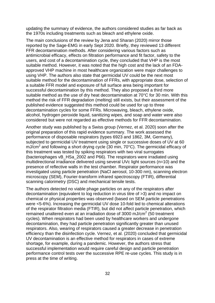updating the summary of evidence, the authors considered studies as far back as the 1970s including treatments such as bleach and ethylene oxide.

The main conclusions of the review by Jena and Sharan (2020) mirror those reported by the Sage-EMG in early Sept 2020. Briefly, they reviewed 13 different FFR decontamination methods. After considering various factors such as antimicrobial efficacy, effects on filtration performance and fit factor, safety to the users, and cost of a decontamination cycle, they concluded that VHP is the most suitable method. However, it was noted that the high cost and the lack of an FDAapproved VHP machine in most healthcare organization were major challenges to using VHP. The authors also state that germicidal UV could be the next most suitable method for the decontamination of FFRs, with appropriate dose, selection of a suitable FFR model and exposure of full surface area being important for successful decontamination by this method. They also proposed a third more suitable method as the use of dry heat decontamination at 70°C for 30 min. With this method the risk of FFR degradation (melting) still exists, but their assessment of the published evidence suggested this method could be used for up to three decontamination cycles for some FFRs. Microwaving, bleach, ethylene oxide, alcohol, hydrogen peroxide liquid, sanitizing wipes, and soap and water were also considered but were not regarded as effective methods for FFR decontamination.

Another study was published by a Swiss group (Vernez, et al. 2020) soon after the original preparation of this rapid evidence summary. The work assessed the performance of disposable respirators (types 6923 and 1862, 3M, Germany), subjected to germicidal UV treatment using single or successive doses of UV at 60 mJ/cm<sup>2</sup> and following a short drying cycle (30 min, 70°C). The germicidal efficacy of this treatment was tested by spiking respirators with two viral surrogates (bacteriophages vB\_HSa\_2002 and P66). The respirators were irradiated using multidirectional irradiance delivered using several UVc light sources (n=10) and the presence of reflective walls in the test chamber. Respirator performance was investigated using particle penetration (NaCl aerosol, 10-300 nm), scanning electron microscopy (SEM), Fourier-transform infrared spectroscopy (FTIR), differential scanning calorimetry (DSC) and mechanical tensile tests.

The authors detected no viable phage particles on any of the respirators after decontamination (equivalent to log reduction in virus titre of >3) and no impact on chemical or physical properties was observed (based on SEM particle penetrations were <5-6%). Increasing the germicidal UV dose 10-fold led to chemical alterations of the respirator filtration media (FTIR), but did not affect particle penetration, which remained unaltered even at an irradiation dose of 3000 mJ/cm<sup>2</sup> (50 treatment cycles). When respirators had been used by healthcare workers and undergone decontamination, they had particle penetration significantly greater than unused respirators. Also, wearing of respirators caused a greater decrease in penetration efficiency than the disinfection cycle. Vernez, et al. (2020) concluded that germicidal UV decontamination is an effective method for respirators in cases of extreme shortage, for example*,* during a pandemic. However, the authors stress that successful implementation would require careful design and particle penetration performance control tests over the successive RPE re-use cycles. This study is in press at the time of writing.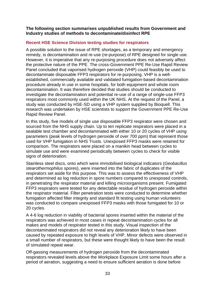**The following section summarises unpublished results from Government and Industry studies of methods to decontaminate/disinfect RPE** 

#### <span id="page-32-0"></span>**Recent HSE Science Division testing studies for respirators**

A possible solution to the issue of RPE shortages, as a temporary and emergency remedy, is decontamination and re-use (re-purpose) of RPE designed for single use. However, it is imperative that any re-purposing procedure does not adversely affect the protective nature of the PPE. The cross-Government PPE Re-Use Rapid Review Panel concluded that vaporised hydrogen peroxide (VHP) could feasibly be used to decontaminate disposable FFP3 respirators for re-purposing. VHP is a wellestablished, commercially available and validated fumigation-based decontamination procedure already in use in some hospitals, for both equipment and whole room decontamination. It was therefore decided that studies should be conducted to investigate the decontamination and potential re-use of a range of single-use FFP3 respirators most commonly used within the UK NHS. At the request of the Panel, a study was conducted by HSE-SD using a VHP system supplied by Bioquell. This research was undertaken by HSE scientists to support the Government PPE Re-Use Rapid Review Panel.

In this study, five models of single use disposable FFP3 respirator were chosen and sourced from the NHS supply chain. Up to ten replicate respirators were placed in a sealable test chamber and decontaminated with either 10 or 20 cycles of VHP using parameters (peak levels of hydrogen peroxide of over 700 ppm) that represent those used for VHP fumigation in NHS Trusts. Unexposed FFP3 masks were retained for comparison. The respirators were placed on a manikin head between cycles to simulate use and were examined periodically between cycles to check for visible signs of deterioration.

Stainless steel discs, onto which were immobilised biological indicators (*Geobacillus stearothermophilus* spores), were inserted into the fabric of duplicates of the respirators set aside for this purpose. This was to assess the effectiveness of VHP and determined as log reduction in spore numbers compared to unexposed controls, in penetrating the respirator material and killing microorganisms present. Fumigated FFP3 respirators were tested for any detectable residue of hydrogen peroxide within the respirator material. Filter penetration tests were conducted to determine whether fumigation affected filter integrity and standard fit testing using human volunteers was conducted to compare unexposed FFP3 masks with those fumigated for 10 or 20 cycles.

A 4-6 log reduction in viability of bacterial spores inserted within the material of the respirators was achieved in most cases in repeat decontamination cycles for all makes and models of respirator tested in this study. Visual inspection of the decontaminated respirators did not reveal any deterioration likely to have been caused by repeated exposure to high levels of VHP. Minor defects were observed in a small number of respirators, but these were thought likely to have been the result of simulated repeat wear.

Off-gassing measurements of hydrogen peroxide from the decontaminated respirators revealed levels above the Workplace Exposure Limit some hours after a period of aeration, suggesting a need to ensure sufficient aeration is done before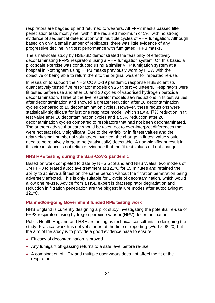respirators are bagged up and returned to wearers. All FFP3 masks passed filter penetration tests mostly well within the required maximum of 1%, with no strong evidence of sequential deterioration with multiple cycles of VHP fumigation. Although based on only a small number of replicates, there was little evidence of any progressive decline in fit test performance with fumigated FFP3 masks.

The small-scale study by HSE-SD demonstrated the feasibility of effectively decontaminating FFP3 respirators using a VHP fumigation system. On this basis, a pilot scale exercise was conducted using a similar VHP fumigation system at a hospital in Nottingham using FFP3 masks previously worn by HCW with the objective of being able to return them to the original wearer for repeated re-use.

In research to support the NHS COVID-19 pandemic response HSE scientists quantitatively tested five respirator models on 25 fit test volunteers. Respirators were fit tested before use and after 10 and 20 cycles of vaporised hydrogen peroxide decontamination. Three of the five respirator models saw reductions in fit test values after decontamination and showed a greater reduction after 20 decontamination cycles compared to 10 decontamination cycles. However, these reductions were statistically significant for just one respirator model, which saw a 47% reduction in fit test value after 10 decontamination cycles and a 53% reduction after 20 decontamination cycles compared to respirators that had not been decontaminated. The authors advise that care should be taken not to over-interpret differences that were not statistically significant. Due to the variability in fit test values and the relatively small number of volunteers involved, the change in fit test value would need to be relatively large to be (statistically) detectable. A non-significant result in this circumstance is not reliable evidence that the fit test values did not change.

#### <span id="page-33-0"></span>**NHS RPE testing during the Sars-CoV-2 pandemic**

Based on work completed to date by NHS Scotland and NHS Wales, two models of 3M FFP3 tolerated autoclave treatment at 121°C for 15 minutes and retained the ability to achieve a fit test on the same person without the filtration penetration being adversely affected. This is only suitable for 1 cycle of decontamination, which would allow one re-use. Advice from a HSE expert is that respirator degradation and reduction in filtration penetration are the biggest failure modes after autoclaving at  $121°C$ .

#### <span id="page-33-1"></span>**Planned/on-going Government funded RPE testing work**

NHS England is currently designing a pilot study investigating the potential re-use of FFP3 respirators using hydrogen peroxide vapour (HPV) decontamination.

Public Health England and HSE are acting as technical consultants in designing the study. Practical work has not yet started at the time of reporting (w/c 17.08.20) but the aim of the study is to provide a good evidence base to ensure:

- **Efficacy of decontamination is proved**
- Any fumigant off-gassing returns to a safe level before re-use
- A combination of HPV and multiple user wears does not affect the fit of the respirator.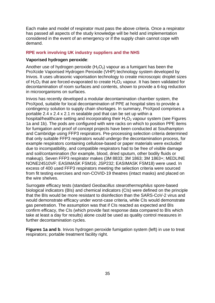Each make and model of respirator must pass the above criteria. Once a respirator has passed all aspects of the study knowledge will be held and implementation considered in the event of an emergency or if the supply chain cannot cope with demand.

#### <span id="page-34-0"></span>**RPE work involving UK industry suppliers and the NHS**

#### **Vaporised hydrogen peroxide**:

Another use of hydrogen peroxide  $(H_2O_2)$  vapour as a fumigant has been the ProXcide Vaporised Hydrogen Peroxide (VHP) technology system developed by Inivos. It uses ultrasonic vaporisation technology to create microscopic droplet sizes of  $H_2O_2$  that are forced-evaporated to create  $H_2O_2$  vapour. It has been validated for decontamination of room surfaces and contents, shown to provide a 6-log reduction in microorganisms on surfaces.

Inivos has recently developed a modular decontamination chamber system, the ProXpod, suitable for local decontamination of PPE at hospital sites to provide a contingency solution to supply chain shortages. In summary, ProXpod comprises a portable 2.4 x 2.4 x 2.1 m sealable pod that can be set up within a hospital/healthcare setting and incorporating their  $H_2O_2$  vapour system (see Figures 1a and 1b). The pods are configured with wire racks on which to position PPE items for fumigation and proof of concept projects have been conducted at Southampton and Cambridge using FFP3 respirators. Pre-processing selection criteria determined that only suitable FFP3 respirators would undergo the decontamination process, for example respirators containing cellulose-based or paper materials were excluded due to incompatibility, and compatible respirators had to be free of visible damage and soil/contamination (for example, blood, dried sputum, other bodily fluids or makeup). Seven FFP3 respirator makes (3M 8833; 3M 1863; 3M 1863+; MEDLINE NONE24510VF; EASIMASK FSM16; JSP232; EASIMASK FSM18) were used. In excess of 400 used FFP3 respirators meeting the selection criteria were sourced from fit testing exercises and non-COVID-19 theatres (intact masks) and placed on the wire shelves.

Surrogate efficacy tests (standard *Geobacillus stearothermophilus* spore-based biological indicators (BIs) and chemical indicators (CIs) were defined on the principle that the BIs would be more resistant to disinfection than the SARS-CoV-2 virus and would demonstrate efficacy under worst-case criteria, while CIs would demonstrate gas penetration. The assumption was that if CIs reacted as expected and BIs confirm efficacy, the CIs (which provide fast response data compared to BIs which take at least a day for results) alone could be used as quality control measures in further decontamination cycles.

**Figures 1a and b**. Inivos hydrogen peroxide fumigation system (left) in use to treat respirators; portable treatment facility right.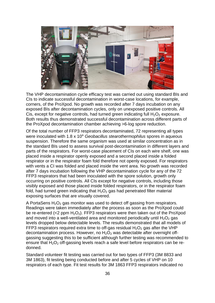

The VHP decontamination cycle efficacy test was carried out using standard BIs and CIs to indicate successful decontamination in worst-case locations, for example, corners, of the ProXpod. No growth was recorded after 7 days incubation on any exposed BIs after decontamination cycles, only on unexposed positive controls. All Cis, except for negative controls, had turned green indicating full  $H_2O_2$  exposure. Both results thus demonstrated successful decontamination across different parts of the ProXpod decontamination chamber achieving >6-log spore reduction.

Of the total number of FFP3 respirators decontaminated, 72 representing all types were inoculated with 1.8 x 10<sup>6</sup> *Geobacillus stearothermophilus* spores in aqueous suspension. Therefore the same organism was used at similar concentration as in the standard BIs used to assess survival post-decontamination in different layers and parts of the respirators. For worst-case placement of CIs on each wire shelf, one was placed inside a respirator openly exposed and a second placed inside a folded respirator or in the respirator foam fold therefore not openly exposed. For respirators with vents a CI was folded and placed inside the vent area. No growth was recorded after 7 days incubation following the VHP decontamination cycle for any of the 72 FFP3 respirators that had been inoculated with the spore solution, growth only occurring on positive controls. All CIs except for negative controls, including those visibly exposed and those placed inside folded respirators, or in the respirator foam fold, had turned green indicating that  $H_2O_2$  gas had penetrated filter material exposing surfaces that are visually covered.

A PortaSens  $H_2O_2$  gas monitor was used to detect off gassing from respirators. Readings were taken immediately after the process as soon as the ProXpod could be re-entered (<2 ppm  $H_2O_2$ ). FFP3 respirators were then taken out of the ProXpod and moved into a well-ventilated area and monitored periodically until  $H_2O_2$  gas levels dropped below detectable levels. The results demonstrated that all models of FFP3 respirators required extra time to off-gas residual  $H_2O_2$  gas after the VHP decontamination process. However, no  $H_2O_2$  was detectable after overnight offgassing suggesting this to be sufficient although further testing was recommended to ensure that  $H_2O_2$  off-gassing levels reach a safe level before respirators can be redonned.

Standard volunteer fit testing was carried out for two types of FFP3 (3M 8833 and 3M 1863), fit testing being conducted before and after 5 cycles of VHP on 10 respirators of each type. Fit test results for 3M 1863 FFP3 respirators indicated no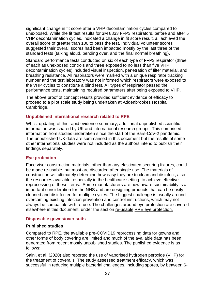significant change in fit score after 5 VHP decontamination cycles compared to unexposed. While the fit test results for 3M 8833 FFP3 respirators, before and after 5 VHP decontamination cycles, indicated a change in fit score result, all achieved the overall score of greater than 100 to pass the test. Individual volunteer scores suggested their overall scores had been impacted mostly by the last three of the standard tests (talking aloud, bending over, and the final normal breathing).

Standard performance tests conducted on six of each type of FFP3 respirator (three of each as unexposed controls and three exposed to no less than five VHP decontamination cycles) included visual inspection, penetration of filter material, and breathing resistance. All respirators were marked with a unique respirator tracking number and the test laboratory was not informed which respirators were exposed to the VHP cycles to constitute a blind test. All types of respirator passed the performance tests, maintaining required parameters after being exposed to VHP.

The above proof of concept results provided sufficient evidence of efficacy to proceed to a pilot scale study being undertaken at Addenbrookes Hospital Cambridge.

#### <span id="page-36-0"></span>**Unpublished international research related to RPE**

Whilst updating of this rapid evidence summary, additional unpublished scientific information was shared by UK and international research groups. This comprised information from studies undertaken since the start of the Sars-CoV-2 pandemic. The unpublished UK data are summarised in this document but the results of some other international studies were not included as the authors intend to publish their findings separately.

#### <span id="page-36-1"></span>**Eye protection**

Face visor construction materials, other than any elasticated securing fixtures, could be made re-usable, but most are discarded after single use. The materials of construction will ultimately determine how easy they are to clean and disinfect, also the resources available, especially in the healthcare setting, to achieve effective reprocessing of these items. Some manufacturers are now aware sustainability is a important consideration for the NHS and are designing products that can be easily cleaned and disinfected for multiple cycles. The biggest challenge is usually around overcoming existing infection prevention and control instructions, which may not always be compatible with re-use. The challenges around eye protection are covered elsewhere in this document, under the section re-usable [PPE eye protection.](#page-20-2)

#### <span id="page-36-2"></span>**Disposable gowns/over suits**

#### **Published studies**

Compared to RPE, the available pre-COVID19 reprocessing data for gowns and other forms of body covering are limited and much of the available data has been generated from recent mostly unpublished studies. The published evidence is as follows:

Saini, et al. (2020) also reported the use of vaporised hydrogen peroxide (VHP) for the treatment of coveralls. The study assessed treatment efficacy, which was successful in reducing multiple bacterial challenges, including spores, by between 6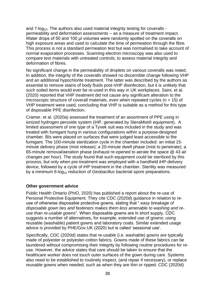and  $7$ -log<sub>10</sub>. The authors also used material integrity testing for coveralls permeability and deformation assessments – as a measure of treatment impact. Water drops of 50 and 100 μl volumes were randomly spotted on the coveralls on high exposure areas and used to calculate the time of permeation through the fibre. This process is not a standard permeation test but was normalised to take account of normal evaporation processes. Scanning electron microscopy was also used to compare test materials with untreated controls, to assess material integrity and deformation of fibres.

No significant change in the permeability of droplets on various coveralls was noted. In addition, the integrity of the coveralls showed no discernible change following VHP and an additional hypochlorite treatment. The latter was described by the authors as essential to remove stains of body fluids post-VHP disinfection, but it is unlikely that such soiled items would ever be re-used in this way in UK workplaces. Saini, et al. (2020) reported that VHP treatment did not cause any significant alteration to the microscopic structure of coverall materials, even when repeated cycles (n > 15) of VHP treatment were used, concluding that VHP is suitable as a method for this type of disposable PPE disinfection.

Cramer, et al. (2020a) assessed the treatment of an assortment of PPE using in ionized hydrogen peroxide system (iHP, generated by SteraMist® equipment). A limited assessment of one type of a Tyvek suit was included in the study and was treated with fumigant hung in various configurations within a purpose-designed chamber. BIs were placed on surfaces that were judged least accessible to the fumigant. The 100-minute sterilization cycle in the chamber included: an initial 15 minute delivery phase (mist release); a 20-minute dwell phase (mist to penetrate); a 65-minute removal/aeration phase (exhaust re-opened to aerate the space @ 43 air changes per hour). The study found that such equipment could be sterilized by this process, but only when pre-treatment was employed with a handheld iHP-delivery device, followed by a cycle of iHP treatment in the chamber. Sterility was measured by a minimum 6-log<sub>10</sub> reduction of *Geobacillus* bacterial spore preparations.

#### **Other government advice**

Public Health Ontario (PHO, 2020) has published a report about the re-use of Personal Protective Equipment. They cite CDC (2020d) guidance in relation to reuse of otherwise disposable protective gowns, stating that "*.easy breakage of disposable gown ties and fasteners makes them less amenable to washing and reuse than re-usable gowns*". When disposable gowns are in short supply, CDC suggests a number of alternatives, for example, extended use of gowns; using reusable (washable) patient gowns and laboratory coats. Similar extended usage advice is provided by PHE/Gov.UK (2020) but is called 'sessional use'.

Specifically, CDC (2020d) states that re-usable (i.e. washable) gowns are typically made of polyester or polyester-cotton fabrics. Gowns made of these fabrics can be laundered without compromising their integrity by following routine procedures for reuse. However, the advice states that care should be taken to ensure that the healthcare worker does not touch outer surfaces of the gown during care. Systems also need to be established to routinely inspect, (and repair if necessary), or replace reusable gowns when needed, such as when they are thin or ripped. CDC (2020d)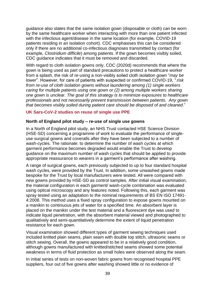guidance also states that the same isolation gown (disposable or cloth) can be worn by the same healthcare worker when interacting with more than one patient infected with the infectious agent/disease in the same location (for example*,* COVID-19 patients residing in an isolation cohort). CDC emphasises this can be considered only if there are no additional co-infectious diagnoses transmitted by contact (for example*, Clostridium difficile*) among patients. If the gown becomes visibly soiled, CDC guidance indicates that it must be removed and discarded.

With regard to cloth isolation gowns only, CDC (2020d) recommends that where the gown is being used as part of standard precautions to protect a healthcare worker from a splash, the risk of re-using a non-visibly soiled cloth isolation gown "*may be lower*". However, for care of patients with suspected or confirmed COVID-19, *".risk from re-use of cloth isolation gowns without laundering among (1) single workers caring for multiple patients using one gown or (2) among multiple workers sharing one gown is unclear. The goal of this strategy is to minimize exposures to healthcare professionals and not necessarily prevent transmission between patients. Any gown that becomes visibly soiled during patient care should be disposed of and cleaned*."

#### <span id="page-38-0"></span>**UK Sars-CoV-2 studies on reuse of single use PPE**

#### **North of England pilot study – re-use of single use gowns**

In a North of England pilot study, an NHS Trust contacted HSE Science Division (HSE-SD) concerning a programme of work to evaluate the performance of singleuse surgical gowns and coveralls after they have been subjected to a number of wash-cycles. The rationale: to determine the number of wash cycles at which garment performance becomes degraded would enable the Trust to develop guidance on the maximum number of wash cycles that should be applied to provide appropriate reassurance to wearers in a garment's performance after washing.

A range of surgical gowns, each previously subjected to up to four standard hospital wash cycles, were provided by the Trust. In addition, some unwashed gowns made bespoke for the Trust by local manufacturers were tested. All were compared with new gowns provided by HSE-SD as control samples. After initial visual examination, the material configuration in each garment/ wash-cycle combination was evaluated using optical microscopy and any features noted. Following this, each garment was spray tested using an adaptation to the nominal requirements of BS EN ISO 17491- 4:2008. This method uses a fixed spray configuration to expose gowns mounted on a manikin to continuous jets of water for a specified time. An absorbent layer is placed on the manikin under the test material and a fluorescent dye was used to indicate liquid penetration, with the absorbent material viewed and photographed to qualitatively and semi-quantitatively determine the extent of liquid penetration resistance for each gown.

Visual examination showed different types of garment sewing techniques used included knitted plain seams, plain seam with double top stitch, ultrasonic seams or stitch sewing. Overall, the gowns appeared to be in a relatively good condition, although gowns manufactured with knitted/stitched seams showed some potential weakness in terms of fluid protection as small holes were observed along the seam.

In initial series of tests on non-woven fabric gowns from recognised hospital PPE suppliers, four out of five gowns after washing showed little or no evidence of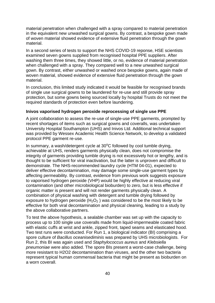material penetration when challenged with a spray compared to material penetration in the equivalent new unwashed surgical gowns. By contrast, a bespoke gown made of woven material showed evidence of extensive fluid penetration through the gown material.

In a second series of tests to support the NHS COVID-19 reponse, HSE scientists examined seven gowns supplied from recognised hospital PPE suppliers. After washing them three times, they showed little, or no, evidence of material penetration when challenged with a spray. They compared well to a new unwashed surgical gown. By contrast, either unwashed or washed once bespoke gowns, again made of woven material, showed evidence of extensive fluid penetration through the gown material.

In conclusion, this limited study indicated it would be feasible for recognised brands of single use surgical gowns to be laundered for re-use and still provide spray protection, but some gowns being sourced locally by hospital Trusts do not meet the required standards of protection even before laundering.

#### **Inivos vaporised hydrogen peroxide reprocessing of single use PPE**

A joint collaboration to assess the re-use of single-use PPE garments, prompted by recent shortages of items such as surgical gowns and coveralls, was undertaken University Hospital Southampton (UHS) and Inivos Ltd. Additional technical support was provided by Wessex Academic Health Science Network, to develop a validated protocol PPE garment re-use.

In summary, a wash/detergent cycle at  $30^{\circ}$ C followed by cool tumble drying, achievable at UHS, renders garments physically clean, does not compromise the integrity of garments providing tumble drying is not excessively hot or lengthy, and is thought to be sufficient for viral inactivation, but the latter is unproven and difficult to demonstrate. The NHS-recommended laundry cycle (HTM 04-01), expected to deliver effective decontamination, may damage some single-use garment types by affecting permeability. By contrast, evidence from previous work suggests exposure to vaporised hydrogen peroxide (VHP) would be highly effective at reducing viral contamination (and other microbiological bioburden) to zero, but is less effective if organic matter is present and will not render garments physically clean. A combination of physical washing with detergent and tumble drying followed by exposure to hydrogen peroxide  $(H_2O_2)$  was considered to be the most likely to be effective for both viral decontamination and physical cleaning, leading to a study by the above collaborative partners.

To test the above hypothesis, a sealable chamber was set up with the capacity to process up to 100 single use coveralls made from liquid-impermeable coated fabric with elastic cuffs at wrist and ankle, zipped front, taped seams and elasticated hood. Two test runs were conducted. For Run 1, a biological indicator (BI) comprising a spore culture of *Bacillus oceanisediminis* was prepared by UHS microbiologists. For Run 2, this BI was again used and *Staphylococcus aureus* and *Klebsiella pneumoniae* were also added. The spore BIs present a worst-case challenge, being more resistant to H2O2 decontamination than viruses, and the other two bacteria represent typical human commensal bacteria that might be present as bioburden on a worn coverall.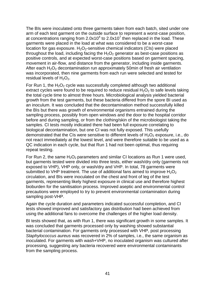The BIs were inoculated onto three garments taken from each batch, sited under one arm of each test garment on the outside surface to represent a worst-case position, at concentrations ranging from  $2.0x10^4$  to  $2.0x10^7$  then replaced in the load. These garments were placed in the load at what was considered to be a worst-case location for gas exposure.  $H_2O_2$ -sensitive chemical indicators (CIs) were placed throughout the load, including facing the  $H_2O_2$  generator as best-case positions as positive controls, and at expected worst-case positions based on garment spacing, movement in air-flow, and distance from the generator, including inside garments. After each  $H_2O_2$  decontamination run approximately 50min of fresh air ventilation was incorporated, then nine garments from each run were selected and tested for residual levels of  $H_2O_2$ .

For Run 1, the  $H_2O_2$  cycle was successfully completed although two additional extract cycles were found to be required to reduce residual  $H_2O_2$  to safe levels taking the total cycle time to almost three hours. Microbiological analysis yielded bacterial growth from the test garments, but these bacteria differed from the spore BI used as an inoculum. It was concluded that the decontamination method successfully killed the BIs but there was growth of environmental organisms entrained during the sampling process, possibly from open windows and the door to the hospital corridor before and during sampling, or from the clothing/skin of the microbiologist taking the samples. CI tests mostly indicated there had been full exposure correlating to biological decontamination, but one CI was not fully exposed. This usefully demonstrated that the CIs were sensitive to different levels of  $H_2O_2$  exposure, i.e., do not react immediately at the lowest level, and were therefore suitable to be used as a QC indication in each cycle, but that Run 1 had not been optimal, thus requiring repeat testing.

For Run 2, the same  $H_2O_2$  parameters and similar CI locations as Run 1 were used, but garments tested were divided into three tests, either wash/dry only (garments not exposed to VHP), VHP only, or wash/dry and VHP. In total, 78 garments were submitted to VHP treatment. The use of additional fans aimed to improve  $H_2O_2$ circulation, and BIs were inoculated on the chest and front of leg of the test garments, representing likely highest exposure in clinical use and therefore highest bioburden for the sanitisation process. Improved aseptic and environmental control precautions were employed to try to prevent environmental contamination during sampling post-VHP.

Again the cycle duration and parameters indicated successful completion, and CI tests showed improved and satisfactory gas distribution had been achieved from using the additional fans to overcome the challenges of the higher load density.

BI tests showed that, as with Run 1, there was significant growth in some samples. It was concluded that garments processed only by washing showed substantial bacterial contamination. For garments only processed with VHP, post processing *Staphylococcus aureus* was recovered in 2% of samples, i.e., the same organism as inoculated. For garments with wash+VHP, no inoculated organism was cultured after processing, suggesting any bacteria recovered were environmental contaminants from the sampling process.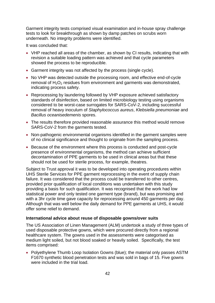Garment integrity tests comprised visual examination and in-house spray challenge tests to look for breakthrough as shown by damp patches on scrubs worn underneath. No integrity problems were identified.

It was concluded that:

- VHP reached all areas of the chamber, as shown by CI results, indicating that with revision a suitable loading pattern was achieved and that cycle parameters showed the process to be reproducible.
- Garment integrity was not affected by the process (single cycle).
- No VHP was detected outside the processing room, and effective end-of-cycle removal of  $H_2O_2$  residues from environment and garments was demonstrated, indicating process safety.
- Reprocessing by laundering followed by VHP exposure achieved satisfactory standards of disinfection, based on limited microbiology testing using organisms considered to be worst-case surrogates for SARS-CoV-2, including successful removal of heavy inoculum of *Staphylococcus aureus*, *Klebsiella pneumoniae* and *Bacillus oceanisedemenis* spores.
- The results therefore provided reasonable assurance this method would remove SARS-CoV-2 from the garments tested.
- Non-pathogenic environmental organisms identified in the garment samples were of no clinical significance and thought to originate from the sampling process.
- Because of the environment where this process is conducted and post-cycle presence of environmental organisms, the method can achieve sufficient decontamination of PPE garments to be used in clinical areas but that these should not be used for sterile process, for example, theatres.

Subject to Trust approval it was to be developed into operating procedures within UHS Sterile Services for PPE garment reprocessing in the event of supply chain failure. It was considered that the process could be transferred to other centres, provided prior qualification of local conditions was undertaken with this study providing a basis for such qualification. It was recognised that the work had low statistical power and only tested one garment type (brand), but was promising and with a 3hr cycle time gave capacity for reprocessing around 450 garments per day. Although that was well below the daily demand for PPE garments at UHS, it would offer some relief to demand.

#### **International advice about reuse of disposable gowns/over suits**

The US Association of Linen Management (ALM) undertook a study of three types of used disposable protective gowns, which were procured directly from a regional healthcare system. The gowns used in the assessments were categorised as medium light soiled, but not blood soaked or heavily soiled. Specifically, the test items comprised:

• Polyethylene Thumb Loop Isolation Gowns (blue); the material only passes ASTM F1670 synthetic blood penetration tests and was sold in bags of 15. Five gowns were included in the trial load.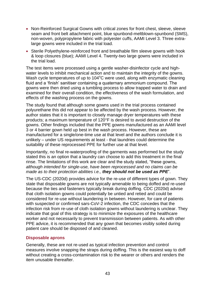- Non-Reinforced Surgical Gowns with critical zones for front chest, sleeve, sleeve seam and front belt attachment point, blue spunbond-meltblown-spunbond (SMS), non-woven, polypropylene fabric with polyester cuffs, AAMI Level 3. Three extralarge gowns were included in the trial load.
- Sterile Polyethylene-reinforced front and breathable film sleeve gowns with hook & loop closures (blue); AAMI Level 4. Twenty-two large gowns were included in the trial load.

The test items were processed using a gentle washer-disinfector cycle and highwater levels to inhibit mechanical action and to maintain the integrity of the gowns. Wash cycle temperatures of up to  $104^{\circ}$ C were used, along with enzymatic cleaning fluid and a 'finish' sanitiser containing a quaternary ammonium compound. The gowns were then dried using a tumbling process to allow trapped water to drain and examined for their overall condition, the effectiveness of the wash formulation, and effects of the washing process on the gowns.

The study found that although some gowns used in the trial process contained polyurethane this did not appear to be affected by the wash process. However, the author states that it is important to closely manage dryer temperatures with these products; a maximum temperature of 120°F is desired to avoid destruction of the gowns. Other findings included that the PPE gowns manufactured as an AAMI level 3 or 4 barrier gown held up best in the wash process. However, these are manufactured for a single/one-time use at that level and the authors conclude it is unlikely – under US requirements at least - that laundries could determine the suitability of these reprocessed PPE for further use at that level.

Importantly, no final re-waterproofing of the garments was performed but the study stated this is an option that a laundry can choose to add this treatment in the final rinse. The limitations of this work are clear and the study stated, "these gowns, *although intended for single-use, have been reprocessed and no claims can be made as to their protection abilities i.e., they should not be used as PPE*".

The US-CDC (2020d) provides advice for the re-use of different types of gown. They state that disposable gowns are not typically amenable to being doffed and re-used because the ties and fasteners typically break during doffing. CDC (2020d) advise that cloth isolation gowns could potentially be untied and retied and could be considered for re-use without laundering in between. However, for care of patients with suspected or confirmed sars-CoV-2 infection, the CDC concedes that the infection risk from re-use of cloth isolation gowns without laundering is unclear. They indicate that goal of this strategy is to minimize the exposures of the healthcare worker and not necessarily to prevent transmission between patients. As with other PPE advice, it is recommended that any gown that becomes visibly soiled during patient care should be disposed of and cleaned.

#### <span id="page-42-0"></span>**Disposable aprons**

Generally, these are not re-used as typical infection prevention and control measures involve snapping the straps during doffing. This is the easiest way to doff without creating a cross-contamination risk to the wearer or others and renders the item unusable thereafter.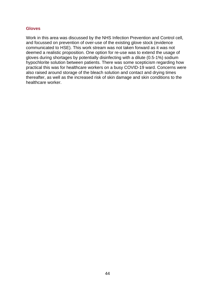#### <span id="page-43-0"></span>**Gloves**

Work in this area was discussed by the NHS Infection Prevention and Control cell, and focussed on prevention of over-use of the existing glove stock (evidence communicated to HSE). This work stream was not taken forward as it was not deemed a realistic proposition. One option for re-use was to extend the usage of gloves during shortages by potentially disinfecting with a dilute (0.5-1%) sodium hypochlorite solution between patients. There was some scepticism regarding how practical this was for healthcare workers on a busy COVID-19 ward. Concerns were also raised around storage of the bleach solution and contact and drying times thereafter, as well as the increased risk of skin damage and skin conditions to the healthcare worker.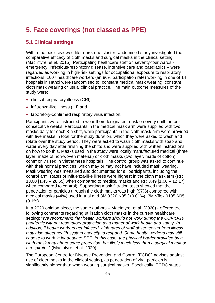# <span id="page-44-0"></span>**5. Face coverings (not classed as PPE)**

## <span id="page-44-1"></span>**5.1 Clinical settings**

Within the peer reviewed literature, one cluster randomised study investigated the comparative efficacy of cloth masks and surgical masks in the clinical setting (MacIntyre, et al. 2015). Participating healthcare staff on seventy-four wards emergency, infectious/respiratory disease, intensive care and paediatrics – were regarded as working in high-risk settings for occupational exposure to respiratory infections. 1607 healthcare workers (an 86% participation rate) working in one of 14 hospitals in Hanoi were randomised to; constant medical mask wearing, constant cloth mask wearing or usual clinical practice. The main outcome measures of the study were:

- clinical respiratory illness (CRI),
- influenza-like illness (ILI) and
- laboratory-confirmed respiratory virus infection.

Participants were instructed to wear their designated mask on every shift for four consecutive weeks. Participants in the medical mask arm were supplied with two masks daily for each 8 h shift, while participants in the cloth mask arm were provided with five masks in total for the study duration, which they were asked to wash and rotate over the study period. They were asked to wash cloth masks with soap and water every day after finishing the shifts and were supplied with written instructions on how to do this. Masks used in the study were locally manufactured medical (three layer, made of non-woven material) or cloth masks (two layer, made of cotton) commonly used in Vietnamese hospitals. The control group was asked to continue with their normal practices, which may or may not have included mask wearing. Mask wearing was measured and documented for all participants, including the control arm. Rates of influenza-like illness were highest in the cloth mask arm (RR 13.00 [1.45 – 28.65] when compared to medical masks and RR 3.49 [1.00 – 12.17] when compared to control). Supporting mask filtration tests showed that the penetration of particles through the cloth masks was high (97%) compared with medical masks (44%) used in trial and 3M 9320 N95 (<0.01%), 3M Vflex 9105 N95  $(0.1\%)$ .

In a 2020 opinion piece, the same authors – MacIntyre, et al. (2020) - offered the following comments regarding utilisation cloth masks in the current healthcare setting: "*We recommend that health workers should not work during the COVID-19 pandemic without respiratory protection as a matter of work health and safety. In addition, if health workers get infected, high rates of staff absenteeism from illness may also affect health system capacity to respond. Some health workers may still choose to work in inadequate PPE. In this case, the physical barrier provided by a cloth mask may afford some protection, but likely much less than a surgical mask or a respirator.*" (MacIntyre, et al. 2020).

The European Centre for Disease Prevention and Control (ECDC) advises against use of cloth masks in the clinical setting, as penetration of viral particles is significantly higher than when wearing surgical masks. Specifically, ECDC states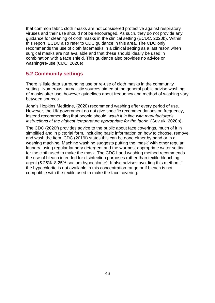that common fabric cloth masks are not considered protective against respiratory viruses and their use should not be encouraged. As such, they do not provide any guidance for cleaning of cloth masks in the clinical setting (ECDC, 2020b). Within this report, ECDC also refer to CDC guidance in this area. The CDC only recommends the use of cloth facemasks in a clinical setting as a last resort when surgical masks are not available and that these should ideally be used in combination with a face shield. This guidance also provides no advice on washing/re-use (CDC, 2020e).

### <span id="page-45-0"></span>**5.2 Community settings**

There is little data surrounding use or re-use of cloth masks in the community setting. Numerous journalistic sources aimed at the general public advise washing of masks after use, however guidelines about frequency and method of washing vary between sources.

John's Hopkins Medicine, (2020) recommend washing after every period of use. However, the UK government do not give specific recommendations on frequency, instead recommending that people should '*wash it in line with manufacturer's instructions at the highest temperature appropriate for the fabric'* (Gov.uk, 2020b).

The CDC (2020f) provides advice to the public about face coverings, much of it in simplified and in pictorial form, including basic information on how to choose, remove and wash the item. CDC (2019f) states this can be done either by hand or in a washing machine. Machine washing suggests putting the 'mask' with other regular laundry, using regular laundry detergent and the warmest appropriate water setting for the cloth used to make the mask. The CDC hand washing method recommends the use of bleach intended for disinfection purposes rather than textile bleaching agent (5.25%–8.25% sodium hypochlorite). It also advises avoiding this method if the hypochlorite is not available in this concentration range or if bleach is not compatible with the textile used to make the face covering.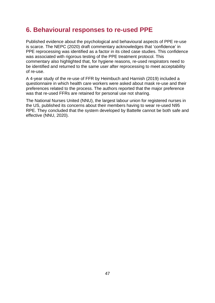# <span id="page-46-0"></span>**6. Behavioural responses to re-used PPE**

Published evidence about the psychological and behavioural aspects of PPE re-use is scarce. The NEPC (2020) draft commentary acknowledges that 'confidence' in PPE reprocessing was identified as a factor in its cited case studies. This confidence was associated with rigorous testing of the PPE treatment protocol. This commentary also highlighted that, for hygiene reasons, re-used respirators need to be identified and returned to the same user after reprocessing to meet acceptability of re-use.

A 4-year study of the re-use of FFR by Heimbuch and Harnish (2019) included a questionnaire in which health care workers were asked about mask re-use and their preferences related to the process. The authors reported that the major preference was that re-used FFRs are retained for personal use not sharing.

The National Nurses United (NNU), the largest labour union for registered nurses in the US, published its concerns about their members having to wear re-used N95 RPE. They concluded that the system developed by Battelle cannot be both safe and effective (NNU, 2020).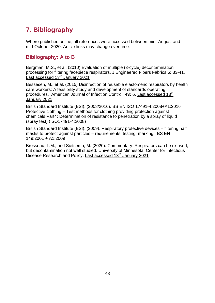# <span id="page-47-0"></span>**7. Bibliography**

Where published online, all references were accessed between mid- August and mid-October 2020. Article links may change over time:

# <span id="page-47-1"></span>**Bibliography: A to B**

Bergman, M.S., et al. (2010) Evaluation of multiple (3-cycle) decontamination processing for filtering facepiece respirators. J Engineered Fibers Fabrics **5:** 33-41. [Last accessed 13](https://journals.sagepub.com/doi/abs/10.1177/155892501000500405)<sup>th</sup> January 2021.

Bessesen, M., et al. (2015) Disinfection of reusable elastomeric respirators by health care workers: A feasibility study and development of standards operating procedures. American Journal of Infection Control. 43: 6. [Last accessed 13](https://doi.org/10.1016/j.ajic.2015.02.009)<sup>th</sup> [January 2021](https://doi.org/10.1016/j.ajic.2015.02.009)

British Standard Institute (BSI). (2008/2016). BS EN ISO 17491-4:2008+A1:2016 Protective clothing – Test methods for clothing providing protection against chemicals Part4: Determination of resistance to penetration by a spray of liquid (spray test) (ISO17491-4:2008)

British Standard Institute (BSI). (2009). Respiratory protective devices – filtering half masks to protect against particles – requirements, testing, marking. BS EN 149:2001 + A1:2009

Brosseau, L.M., and Sietsema, M. (2020). Commentary: Respirators can be re-used, but decontamination not well studied. University of Minnesota: Center for Infectious Disease Research and Policy. [Last accessed 13](https://www.cidrap.umn.edu/news-perspective/2020/04/commentary-respirators-can-be-reused-decontamination-not-well-studied)<sup>th</sup> January 2021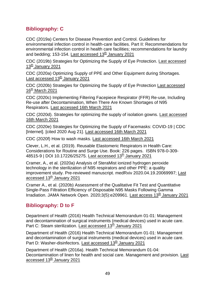# <span id="page-48-0"></span>**Bibliography: C**

CDC (2019a) Centers for Disease Prevention and Control. Guidelines for environmental infection control in health-care facilities. Part II: Recommendations for environmental infection control in health care facilities; recommendations for laundry and bedding; 153-154. Last accessed  $13<sup>th</sup>$  January 2021

CDC (2019b) Strategies for Optimizing the Supply of Eye Protection. [Last accessed](https://www.cdc.gov/coronavirus/2019-ncov/hcp/ppe-strategy/eye-protection.html) 13<sup>th</sup> [January 2021](https://www.cdc.gov/coronavirus/2019-ncov/hcp/ppe-strategy/eye-protection.html)

CDC (2020a) Optimizing Supply of PPE and Other Equipment during Shortages. Last accessed  $13<sup>th</sup>$  January 2021

CDC (2020b) Strategies for Optimizing the Supply of Eye Protection [Last accessed](https://www.cdc.gov/coronavirus/2019-ncov/hcp/ppe-strategy/eye-protection.html)   $16<sup>th</sup>$  [March 2021](https://www.cdc.gov/coronavirus/2019-ncov/hcp/ppe-strategy/eye-protection.html)

CDC (2020c) Implementing Filtering Facepiece Respirator (FFR) Re-use, Including Re-use after Decontamination, When There Are Known Shortages of N95 Respirators. [Last accessed 16th March 2021](https://www.cdc.gov/coronavirus/2019-ncov/hcp/ppe-strategy/decontamination-reuse-respirators.html)

CDC (2020d). Strategies for optimizing the supply of isolation gowns. [Last accessed](https://www.cdc.gov/coronavirus/2019-ncov/hcp/ppe-strategy/isolation-gowns.html) [16th March 2021](https://www.cdc.gov/coronavirus/2019-ncov/hcp/ppe-strategy/isolation-gowns.html)

CDC (2020e) Strategies for Optimizing the Supply of Facemasks: COVID-19 | CDC [Internet]. [cited 2020 Aug 21]. [Last accessed 16th March 2021](https://www.cdc.gov/coronavirus/2019-ncov/hcp/ppe-strategy/face-masks.html)

CDC (2020f) How to wash masks. [Last accessed 16th March 2021](https://www.cdc.gov/coronavirus/2019-ncov/prevent-getting-sick/how-to-wash-cloth-face-coverings.html)

Clever, L.H., et al. (2019). Reusable Elastomeric Respirators in Health Care: Considerations for Routine and Surge Use. Book: 226 pages. ISBN 978-0-309- 48515-9 | DOI 10.17226/25275. [Last accessed](https://www.nap.edu/catalog/25275/reusable-elastomeric-respirators-in-health-care-considerations-for-routine-and) 13<sup>th</sup> January 2021

Cramer, A., et al. (2020a) Analysis of SteraMist ionized hydrogen peroxide technology in the sterilization of N95 respirators and other PPE: a quality improvement study. Pre-reviewed manuscript. medRxiv 2020.04.19.20069997; [Last](https://doi.org/10.1101/2020.04.19.20069997)  accessed 13<sup>th</sup> [January 2021](https://doi.org/10.1101/2020.04.19.20069997)

Cramer A., et al. (2020b) Assessment of the Qualitative Fit Test and Quantitative Single-Pass Filtration Efficiency of Disposable N95 Masks Following Gamma Irradiation. JAMA Network Open. 2020;3(5):e209961. [Last access 13](https://jamanetwork.com/journals/jamanetworkopen/fullarticle/2766200)<sup>th</sup> January 2021

# <span id="page-48-1"></span>**Bibliography: D to F**

Department of Health (2016) Health Technical Memorandum 01-01: Management and decontamination of surgical instruments (medical devices) used in acute care. Part C: Steam sterilization. [Last accessed](https://assets.publishing.service.gov.uk/government/uploads/system/uploads/attachment_data/file/545863/HTM0101PartC.pdf)  $13<sup>th</sup>$  January 2021

Department of Health (2016) Health Technical Memorandum 01-01: Management and decontamination of surgical instruments (medical devices) used in acute care. Part D: Washer-disinfectors. [Last accessed 13](https://assets.publishing.service.gov.uk/government/uploads/system/uploads/attachment_data/file/545864/HTM0101PartD.pdf)<sup>th</sup> January 2021

Department of Health (2016a). Health Technical Memorandum 01-04: Decontamination of linen for health and social care. Management and provision. [Last](https://assets.publishing.service.gov.uk/government/uploads/system/uploads/attachment_data/file/527542/Mgmt_and_provision.pdf)  accessed 13<sup>th</sup> [January 2021](https://assets.publishing.service.gov.uk/government/uploads/system/uploads/attachment_data/file/527542/Mgmt_and_provision.pdf)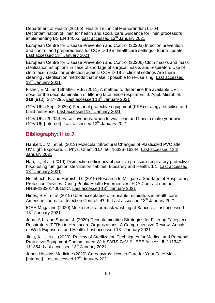Department of Health (2016b). Health Technical Memorandum 01-04: Decontamination of linen for health and social care Guidance for linen processors implementing BS EN 14065. [Last accessed 13](https://www.gov.uk/government/publications/decontamination-of-linen-for-health-and-social-care)<sup>th</sup> January 2021

European Centre for Disease Prevention and Control (2020a) Infection prevention and control and preparedness for COVID-19 in healthcare settings - fourth update. Last accessed  $13<sup>th</sup>$  January 2021

European Centre for Disease Prevention and Control (2020b) Cloth masks and mask sterilization as options in case of shortage of surgical masks and respirators Use of cloth face masks for protection against COVID-19 in clinical settings Are there cleaning / sterilisation methods that make it possible to re-use sing. [Last accessed](https://www.ecdc.europa.eu/sites/default/files/documents/Cloth-face-masks-in-case-shortage-surgical-masks-respirators2020-03-26.pdf)  13<sup>th</sup> [January 2021](https://www.ecdc.europa.eu/sites/default/files/documents/Cloth-face-masks-in-case-shortage-surgical-masks-respirators2020-03-26.pdf)

Fisher, E.M., and Shaffer, R.E. (2011) A method to determine the available UVc dose for the decontamination of filtering face piece respirators. J. Appl. Microbiol. **110** (910): 287–295. Last accessed  $13^{\text{th}}$  January 2021

GOV.UK. (Sept. 2020a) Personal protective equipment (PPE) strategy: stabilise and build resilience. [Last accessed 13](https://www.gov.uk/government/publications/personal-protective-equipment-ppe-strategy-stabilise-and-build-resilience)th January 2021

GOV.UK. (2020b). Face coverings: when to wear one and how to make your own - GOV.UK [Internet]. [Last accessed 13](https://www.gov.uk/government/publications/face-coverings-when-to-wear-one-and-how-to-make-your-own/face-coverings-when-to-wear-one-and-how-to-make-your-own)th January 2021

# <span id="page-49-0"></span>**Bibliography: H to J**

Hankett, J.M., et al. (2013) Molecular Structural Changes of Plasticized PVC after UV Light Exposure. J. Phys. Chem. **117**: 50. 16336–16344. [Last accessed 13th](https://doi.org/10.1021/jp409254y)  [January 2021](https://doi.org/10.1021/jp409254y)

Hao, L., et al. (2019) Disinfection efficiency of positive pressure respiratory protective hood using fumigation sterilization cabinet. Biosafety and Health. **1**:1. [Last accessed](https://doi.org/10.1016/j.bsheal.2019.02.006)   $13<sup>th</sup>$  [January 2021](https://doi.org/10.1016/j.bsheal.2019.02.006)

Heimbuch, B. and Harnish, D. (2019) Research to Mitigate a Shortage of Respiratory Protection Devices During Public Health Emergencies. FDA Contract number: HHSF223201400158C. [Last accessed 13](https://www.ara.com/news/ara-research-mitigate-shortage-respiratory-protection-devices-during-public-health-emergencies/)<sup>th</sup> January 2021

Hines, S.E., et al (2019) User acceptance of reusable respirators in health care. American Journal of Infection Control. 47: 6. [Last accessed 13](https://doi.org/10.1016/j.ajic.2018.11.021)<sup>th</sup> January 2021

IOSH Magazine (2020) Meiko respirator mask washing at Babcock. [Last accessed](https://www.ioshmagazine.com/2020/08/06/meiko-respirator-mask-washing-babcock)  13<sup>th</sup> [January 2021](https://www.ioshmagazine.com/2020/08/06/meiko-respirator-mask-washing-babcock)

Jena, A.K. and Sharan, J. (2020) Decontamination Strategies for Filtering Facepiece Respirators (FFRs) in Healthcare Organizations: A Comprehensive Review. Annals of Work Exposures and Health. [Last accessed 13](https://doi.org/10.1093/annweh/wxaa090)<sup>th</sup> January 2021

Jinia, A.L., et al. (2020). Review of Sterilization Techniques for Medical and Personal Protective Equipment Contaminated With SARS-CoV-2. IEEE Access. **8**: 111347- 111354. Last accessed  $13<sup>th</sup>$  January 2021

Johns Hopkins Medicine (2020) Coronavirus: How to Care for Your Face Mask [Internet]. Last accessed  $13<sup>th</sup>$  January 2021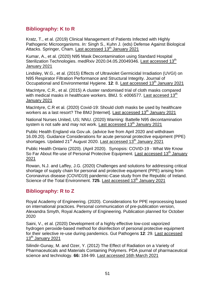# <span id="page-50-0"></span>**Bibliography: K to R**

Kratz, T., et al. (2019) Clinical Management of Patients Infected with Highly Pathogenic Microorganisms. *In:* Singh S., Kuhn J. (eds) Defense Against Biological Attacks. Springer, Cham. [Last accessed 13](https://doi.org/10.1007/978-3-030-03053-7_9)<sup>th</sup> January 2021

Kumar, A., et al. (2020) N95 Mask Decontamination using Standard Hospital Sterilization Technologies. medRxiv 2020.04.05.20049346. [Last accessed 13](https://doi.org/10.1101/2020.04.05.20049346)<sup>th</sup> [January 2021](https://doi.org/10.1101/2020.04.05.20049346)

Lindsley, W.G., et al. (2015) Effects of Ultraviolet Germicidal Irradiation (UVGI) on N95 Respirator Filtration Performance and Structural Integrity. Journal of Occupational and Environmental Hygiene. **12**: 8. [Last accessed 13](https://doi.org/10.1080/15459624.2015.1018518)th January 2021

MacIntyre, C.R., et al. (2015) A cluster randomised trial of cloth masks compared with medical masks in healthcare workers. BMJ. 5:  $e006577$ . [Last accesed 13](https://bmjopen.bmj.com/content/5/4/e006577.info) $^{\text{th}}$ [January 2021](https://bmjopen.bmj.com/content/5/4/e006577.info)

MacIntyre, C.R et al. (2020) Covid-19: Should cloth masks be used by healthcare workers as a last resort? The BMJ [Internet]. [Last accessed 13](https://blogs.bmj.com/bmj/2020/04/09/covid-19-should-cloth-masks-be-used-by-healthcare-workers-as-a-last-resort/)<sup>th</sup> January 2021

National Nurses United, US; NNU. (2020) Warning: Battelle N95 decontamination system is not safe and may not work. [Last accessed 13](https://www.nationalnursesunited.org/sites/default/files/nnu/0520_Covid19_H%26S_BattelleDecontamination.pdf)<sup>th</sup> January 2021

Public Health England via Gov.uk. (advice live from April 2020 and withdrawn 16.09.20). Guidance Considerations for acute personal protective equipment (PPE) shortages. Updated 21<sup>st</sup> August 2020. [Last accessed 13](https://www.gov.uk/government/publications/wuhan-novel-coronavirus-infection-prevention-and-control/managing-shortages-in-personal-protective-equipment-ppe)<sup>th</sup> January 2021

Public Health Ontario (2020). (April 2020). Synopsis: COVID-19 - What We Know So Far About Re-use of Personal Protective Equipment. [Last accessed 13](https://www.publichealthontario.ca/-/media/documents/ncov/covid-wwksf/what-we-know-reuse-of-personal-protective-equipment.pdf?la=en)<sup>th</sup> January [2021](https://www.publichealthontario.ca/-/media/documents/ncov/covid-wwksf/what-we-know-reuse-of-personal-protective-equipment.pdf?la=en)

Rowan, N.J. and Laffey, J.G. (2020) Challenges and solutions for addressing critical shortage of supply chain for personal and protective equipment (PPE) arising from Coronavirus disease (COVID19) pandemic-Case study from the Republic of Ireland. Science of the Total Environment. **725**. [Last accessed 13](https://doi.org/10.1016/j.scitotenv.2020.138532)<sup>th</sup> January 2021

# <span id="page-50-1"></span>**Bibliography: R to Z**

Royal Academy of Engineering. (2020). Considerations for PPE reprocessing based on international practices. Personal communication of pre-publication version, Alexandra Smyth, Royal Academy of Engineering. Publication planned for October 2020

Saini, V., et al. (2020) Development of a highly effective low-cost vaporized hydrogen peroxide-based method for disinfection of personal protective equipment for their selective re-use during pandemics. Gut Pathogens **12**: 29. [Last accessed](https://doi.org/10.1186/s13099-020-00367-4)   $13<sup>th</sup>$  [January 2021](https://doi.org/10.1186/s13099-020-00367-4)

Silindir-Gunay, M. and Ozer, Y. (2012) The Effect of Radiation on a Variety of Pharmaceuticals and Materials Containing Polymers. PDA journal of pharmaceutical science and technology. **66:** 184-99. [Last accessed 16th March 2021](https://www.researchgate.net/publication/223974016_The_Effect_of_Radiation_on_a_Variety_of_Pharmaceuticals_and_Materials_Containing_Polymers)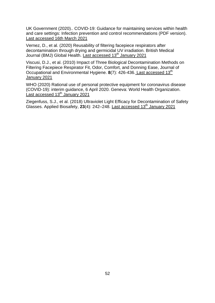UK Government (2020).. COVID-19: Guidance for maintaining services within health and care settings: Infection prevention and control recommendations (PDF version). [Last accessed 16th March 2021](https://assets.publishing.service.gov.uk/government/uploads/system/uploads/attachment_data/file/893320/COVID-19_Infection_prevention_and_control_guidance_complete.pdf)

Vernez, D., et al. (2020) Reusability of filtering facepiece respirators after decontamination through drying and germicidal UV irradiation. British Medical Journal (BMJ) Global Health. [Last accessed 13](https://gh.bmj.com/content/5/10/e003110)<sup>th</sup> January 2021

Viscusi, D.J., et al. (2010) Impact of Three Biological Decontamination Methods on Filtering Facepiece Respirator Fit, Odor, Comfort, and Donning Ease, Journal of Occupational and Environmental Hygiene. 8(7): 426-436. [Last accessed 13](https://oeh.tandfonline.com/doi/full/10.1080/15459624.2011.585927)<sup>th</sup> [January 2021](https://oeh.tandfonline.com/doi/full/10.1080/15459624.2011.585927)

WHO (2020) Rational use of personal protective equipment for coronavirus disease (COVID-19): interim guidance, 6 April 2020. Geneva: World Health Organization. Last accessed  $13<sup>th</sup>$  January 2021

Ziegenfuss, S.J., et al. (2018) Ultraviolet Light Efficacy for Decontamination of Safety Glasses. Applied Biosafety, 23(4): 242–248. [Last accessed 13](https://doi.org/10.1177/1535676018786962)<sup>th</sup> January 2021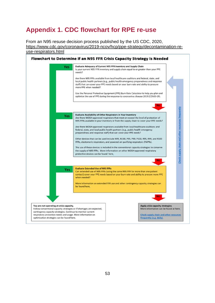# <span id="page-52-0"></span>**Appendix 1. CDC flowchart for RPE re-use**

From an N95 resuse decision process published by the US CDC, 2020, [https://www.cdc.gov/coronavirus/2019-ncov/hcp/ppe-strategy/decontamination-re](https://www.cdc.gov/coronavirus/2019-ncov/hcp/ppe-strategy/decontamination-reuse-respirators.html)[use-respirators.html](https://www.cdc.gov/coronavirus/2019-ncov/hcp/ppe-strategy/decontamination-reuse-respirators.html)

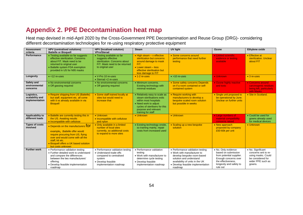# **Appendix 2. PPE Decontamination heat map**

Heat map devised in mid-April 2020 by the Cross-Government PPE Decontamination and Reuse Group (DRG)- considering different decontamination technologies for re-using respiratory protective equipment

<span id="page-53-0"></span>

| <b>Assessment</b><br>criteria                   | <b>HPV</b> (centralised solutions)<br><b>Battelle or Bioquell</b>                                                                                                                                                             | HPV (localised solution)<br><b>VPro/Sterad</b>                                                                                                   | <b>Steam</b>                                                                                                                                                                                  | <b>UV light</b>                                                                                                                                                                                             | Ozone                                                                                                                                                       | Ethylene oxide                                                                                                      |
|-------------------------------------------------|-------------------------------------------------------------------------------------------------------------------------------------------------------------------------------------------------------------------------------|--------------------------------------------------------------------------------------------------------------------------------------------------|-----------------------------------------------------------------------------------------------------------------------------------------------------------------------------------------------|-------------------------------------------------------------------------------------------------------------------------------------------------------------------------------------------------------------|-------------------------------------------------------------------------------------------------------------------------------------------------------------|---------------------------------------------------------------------------------------------------------------------|
| Performance                                     | • Testing available so far suggests<br>effective sterilization. Concerns<br>about FIT. Mask need to be<br>returned to original user<br>• Battelle system FDA exemption<br>provided in US for N95 masks                        | • Testing available so far<br>suggests effective<br>sterilization. Concerns about<br>FIT. Mask need to be returned<br>to original user           | • High steam - v effective<br>sterilization but concerns<br>around damage to mask<br>FIT.<br>• Lower steam - less<br>effective sterilisation but<br>less damage to FIT                        | • Some concerns around<br>performance that need further<br>testing                                                                                                                                          | • Limited scientific<br>evidence or testing<br>available                                                                                                    | • Effective at<br>sterilization. Unclear<br>about FIT                                                               |
| Longevity                                       | $\bullet$ <12 re-uses                                                                                                                                                                                                         | • V-Pro 10 re-uses<br>$\bullet$ Sterrad <2 re-uses                                                                                               | $\bullet$ 1-2 re-uses                                                                                                                                                                         | $\bullet$ >10 re-uses                                                                                                                                                                                       | • Unknown                                                                                                                                                   | $\bullet$ 3 re-uses                                                                                                 |
| Safety and<br>environmental<br>concerns         | • No environmental concerns<br>• Off gassing required                                                                                                                                                                         | • No environmental concerns<br>• Off gassing required                                                                                            | • Minimum concerns.<br>Existing technology with<br>minimal residues                                                                                                                           | • Some safety concerns Depends<br>on if a room contained or self-<br>contained system                                                                                                                       | • Ozone highly reactive<br>and toxic                                                                                                                        | • Concerns around<br>carcinogenic residues<br>being left, particularly<br>with Masks                                |
| Logistics,<br>scalability and<br>implementation | • Require shipping from US (Battelle)<br>but staff, equipment etc. all come<br>with it vs already available in via<br><b>Bioquell</b>                                                                                         | • Some staff trained locally at<br>sites but would need to<br>increase that                                                                      | • Relatively easy to scale as<br>steam sterilisations exits<br>within most hospitals<br>• Need work to adjust<br>cycles of sterilisers for this<br>purpose and relevant<br>training for staff | • Require working with<br>manufacturers to develop a<br>bespoke scaled room solution<br>but possible in weeks                                                                                               | • Single unit proposed to<br>be operational by June.<br>Unclear on further units                                                                            | • Site in Scotland.                                                                                                 |
| Applicability to<br>different loads             | • Battelle are currently testing this in<br>the US. Awaiting results<br>• Incompatible with cellulose                                                                                                                         | • Unknown<br>• Incompatible with cellulose<br>and nylon                                                                                          | • Unknown                                                                                                                                                                                     | • Unknown                                                                                                                                                                                                   | • Large numbers of<br>material compatibility<br>concerns raised                                                                                             | • Could be used for<br>gowns already used<br>for medical devices                                                    |
| <b>Types of costs</b><br>involved               | • Depends on the manufacturers TOT<br>example, Battelle offer would<br>require procuring from US, flying<br>over and would come with all the<br>staff. kit etc.<br>• Bioquell offers a UK based solution<br>but costs unknown | • Only available in a limited<br>number of local sites<br>currently, so additional costs<br>to expand to more sites                              | • Existing technology onsite,<br>so training mainly, repair<br>costs from increased used                                                                                                      | • Scaling up a new bespoke<br>solution                                                                                                                                                                      | • New approach<br>proposed by company<br>£50-60k per unit                                                                                                   | • Unknown                                                                                                           |
| <b>Further work</b>                             | • Performance validation testing<br>• Further detailed work to understand<br>and compare the differences<br>between the two manufacturers'<br>offering.<br>• Develop feasible implementation<br>roadmap                       | • Performance validation testing<br>• Understand trade-offs<br>compared to centralised<br>system<br>• Develop feasible<br>implementation roadmap | • Performance validation<br>testing<br>• Work with manufacturer to<br>determine cycle testing<br>• Develop feasible<br>implementation roadmap                                                 | • Performance validation testing<br>• Work with manufacturer to<br>develop bespoke room-based<br>solution and understand<br>availability of units in the UK<br>• Develop feasible implementation<br>roadmap | • No. Only evidence<br>based on submission<br>from potential supplier.<br>Enough concerns over<br>the effectiveness.<br>longevity and safety to<br>rule out | • No. Significant<br>concerns writ to re-<br>using masks. Could<br>be considered for<br>wider PPE such as<br>gowns. |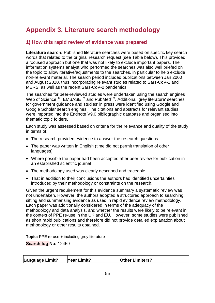# <span id="page-54-0"></span>**Appendix 3. Literature search methodology**

# **1) How this rapid review of evidence was prepared**

**Literature search:** Published literature searches were based on specific key search words that related to the original research request (see Table below). This provided a focused approach but one that was not likely to exclude important papers. The information systems analyst who performed the searches was also well briefed on the topic to allow iterative/adjustments to the searches, in particular to help exclude non-relevant material. The search period included publications between Jan 2000 and August 2020, thus incorporating relevant studies related to Sars-CoV-1 and MERS, as well as the recent Sars-CoV-2 pandemics.

The searches for peer-reviewed studies were undertaken using the search engines Web of Science™, EMBASE<sup>™</sup> and PubMed<sup>™</sup>. Additional 'grey literature' searches for government guidance and studies' in press were identified using Google and Google Scholar search engines. The citations and abstracts for relevant studies were imported into the Endnote V9.0 bibliographic database and organised into thematic topic folders.

Each study was assessed based on criteria for the relevance and quality of the study in terms of:

- The research provided evidence to answer the research questions
- The paper was written in English (time did not permit translation of other languages)
- Where possible the paper had been accepted after peer review for publication in an established scientific journal
- The methodology used was clearly described and traceable.
- That in addition to their conclusions the authors had identified uncertainties introduced by their methodology or constraints on the research.

Given the urgent requirement for this evidence summary a systematic review was not undertaken. However, the authors adopted a structured approach to searching, sifting and summarising evidence as used in rapid evidence review methodology. Each paper was additionally considered in terms of the adequacy of the methodology and data analysis, and whether the results were likely to be relevant in the context of PPE re-use in the UK and EU. However, some studies were published as short rapid publications and therefore did not provide detailed explanation about methodology or other results obtained.

**Topic:** PPE re-use + including grey literature

**Search log No:** 12459

| <b>Language Limit?</b> | <b>Year Limit?</b> | <b>Other Limiters?</b> |
|------------------------|--------------------|------------------------|
|------------------------|--------------------|------------------------|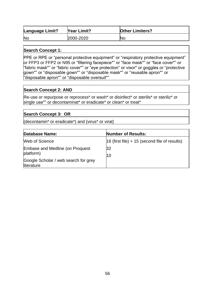| <b>Language Limit?</b> | Year Limit? | <b>Other Limiters?</b> |
|------------------------|-------------|------------------------|
| <b>Nc</b>              | 2000-2020   | <b>No</b>              |

#### **Search Concept 1:**

PPE or RPE or "personal protective equipment" or "respiratory protective equipment" or FFP3 or FFP2 or N95 or "filtering facepiece\*" or "face mask\*" or "face cover\*" or "fabric mask\*" or "fabric cover\*" or "eye protection" or visor\* or goggles or "protective gown\*" or "disposable gown\*" or "disposable mask\*" or "reusable apron\*" or "disposable apron\*" or "disposable oversuit\*"

#### **Search Concept 2: AND**

Re-use or repurpose or reprocess\* or wash\* or disinfect\* or sterilis\* or steriliz\* or single use\*" or decontaminat\* or eradicate\* or clean\* or treat\*

#### **Search Concept 3: OR**

(decontamin\* or eradicate\*) and (virus\* or viral)

| Database Name:                                      | <b>Number of Results:</b>                       |
|-----------------------------------------------------|-------------------------------------------------|
| Web of Science                                      | $16$ (first file) + 15 (second file of results) |
| <b>Embase and Medline (on Proquest</b><br>platform) | 32<br>10                                        |
| Google Scholar / web search for grey<br>literature  |                                                 |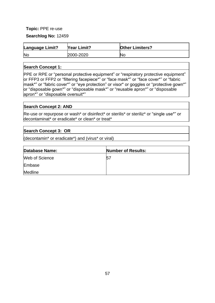### **Topic:** PPE re-use

**Searchlog No:** 12459

| <b>Language Limit?</b> | <b>Year Limit?</b> | <b>Other Limiters?</b> |
|------------------------|--------------------|------------------------|
| <b>Nc</b>              | 2000-2020          | <b>N</b> c             |

#### **Search Concept 1:**

PPE or RPE or "personal protective equipment" or "respiratory protective equipment" or FFP3 or FFP2 or "filtering facepiece\*" or "face mask\*" or "face cover\*" or "fabric mask\*" or "fabric cover\*" or "eye protection" or visor\* or goggles or "protective gown\*" or "disposable gown\*" or "disposable mask\*" or "reusable apron\*" or "disposable apron\*" or "disposable oversuit\*"

#### **Search Concept 2: AND**

Re-use or repurpose or wash\* or disinfect\* or sterilis\* or steriliz\* or "single use\*" or decontaminat\* or eradicate\* or clean\* or treat\*

#### **Search Concept 3: OR**

(decontamin\* or eradicate\*) and (virus\* or viral)

| <b>Database Name:</b> | <b>Number of Results:</b> |
|-----------------------|---------------------------|
| Web of Science        | 57                        |
| Embase                |                           |
| <b>Medline</b>        |                           |